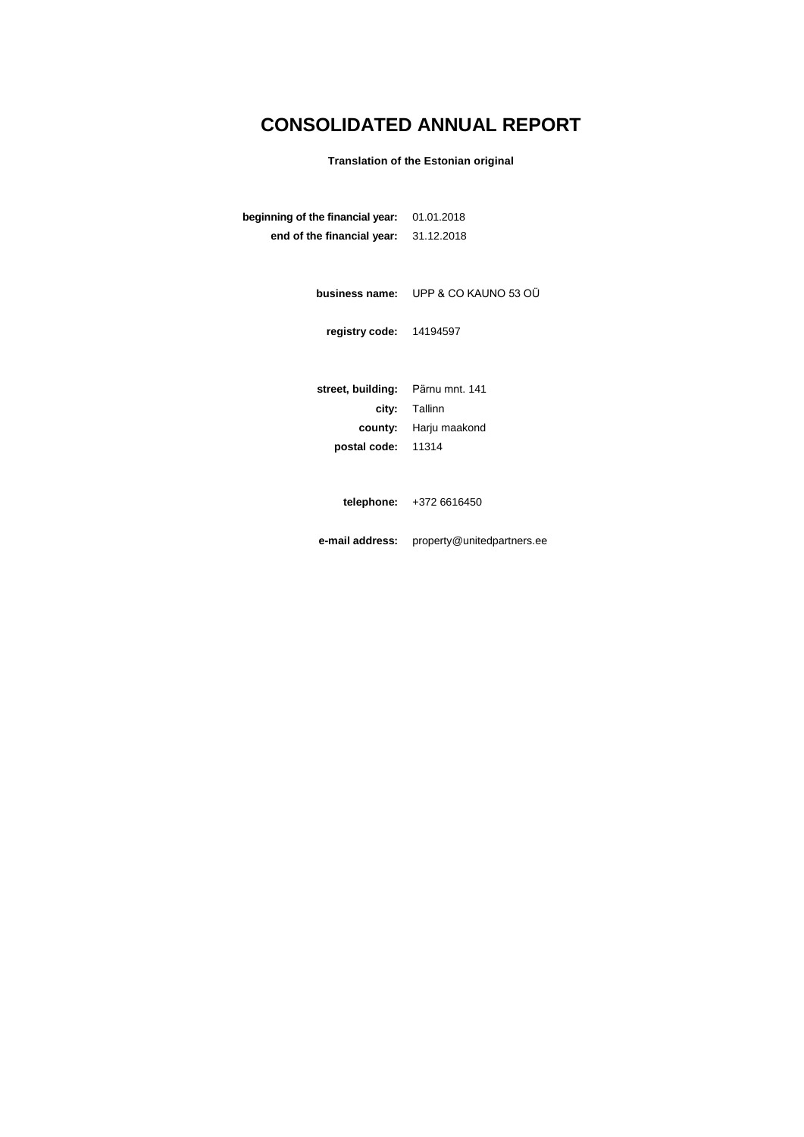# **CONSOLIDATED ANNUAL REPORT**

**Translation of the Estonian original**

| <b>beginning of the financial year:</b> 01.01.2018 |                                            |
|----------------------------------------------------|--------------------------------------------|
| end of the financial year: 31.12.2018              |                                            |
|                                                    |                                            |
|                                                    | <b>business name:</b> UPP & CO KAUNO 53 OÜ |
| registry code: 14194597                            |                                            |
|                                                    |                                            |
| street, building: Pärnu mnt. 141                   |                                            |
|                                                    | city: Tallinn                              |
|                                                    | county: Harju maakond                      |
| postal code: 11314                                 |                                            |
|                                                    |                                            |
|                                                    | telephone: $+3726616450$                   |
|                                                    |                                            |

**e-mail address:** property@unitedpartners.ee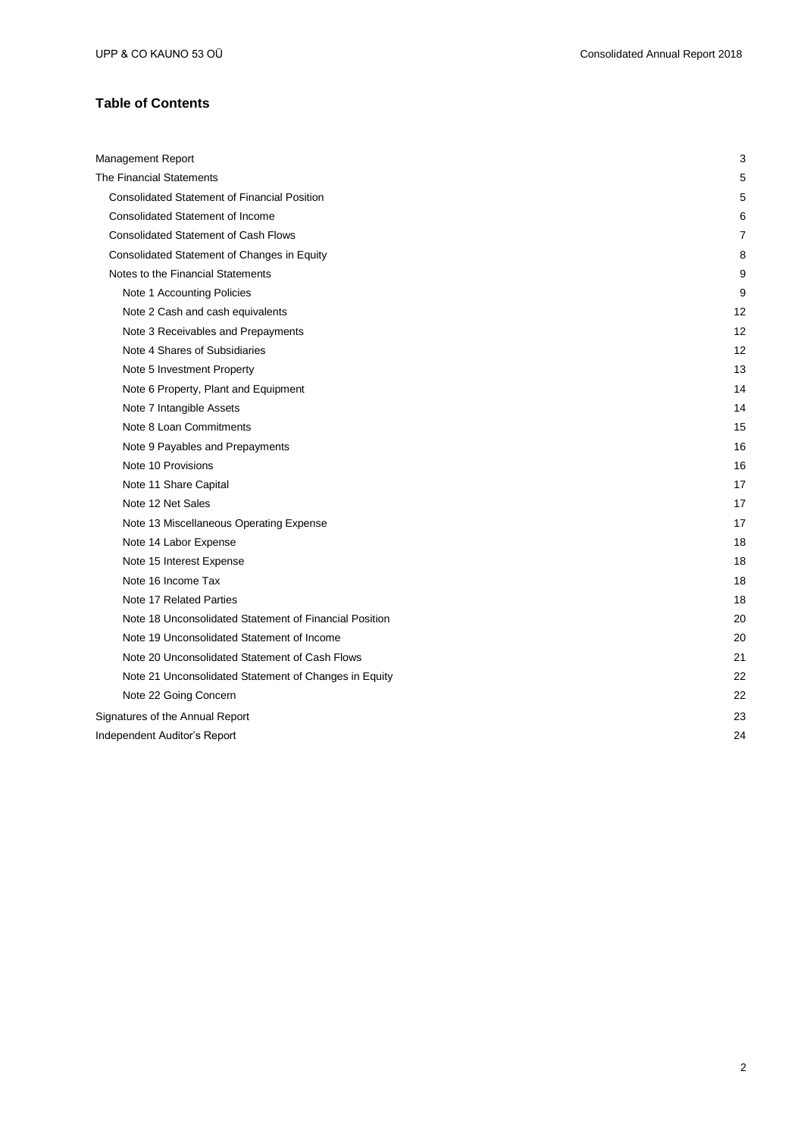### **Table of Contents**

| Management Report                                      | 3  |
|--------------------------------------------------------|----|
| The Financial Statements                               | 5  |
| <b>Consolidated Statement of Financial Position</b>    | 5  |
| Consolidated Statement of Income                       | 6  |
| <b>Consolidated Statement of Cash Flows</b>            | 7  |
| Consolidated Statement of Changes in Equity            | 8  |
| Notes to the Financial Statements                      | g  |
| Note 1 Accounting Policies                             | g  |
| Note 2 Cash and cash equivalents                       | 12 |
| Note 3 Receivables and Prepayments                     | 12 |
| Note 4 Shares of Subsidiaries                          | 12 |
| Note 5 Investment Property                             | 13 |
| Note 6 Property, Plant and Equipment                   | 14 |
| Note 7 Intangible Assets                               | 14 |
| Note 8 Loan Commitments                                | 15 |
| Note 9 Payables and Prepayments                        | 16 |
| Note 10 Provisions                                     | 16 |
| Note 11 Share Capital                                  | 17 |
| Note 12 Net Sales                                      | 17 |
| Note 13 Miscellaneous Operating Expense                | 17 |
| Note 14 Labor Expense                                  | 18 |
| Note 15 Interest Expense                               | 18 |
| Note 16 Income Tax                                     | 18 |
| Note 17 Related Parties                                | 18 |
| Note 18 Unconsolidated Statement of Financial Position | 20 |
| Note 19 Unconsolidated Statement of Income             | 20 |
| Note 20 Unconsolidated Statement of Cash Flows         | 21 |
| Note 21 Unconsolidated Statement of Changes in Equity  | 22 |
| Note 22 Going Concern                                  | 22 |
| Signatures of the Annual Report                        | 23 |
| Independent Auditor's Report                           | 24 |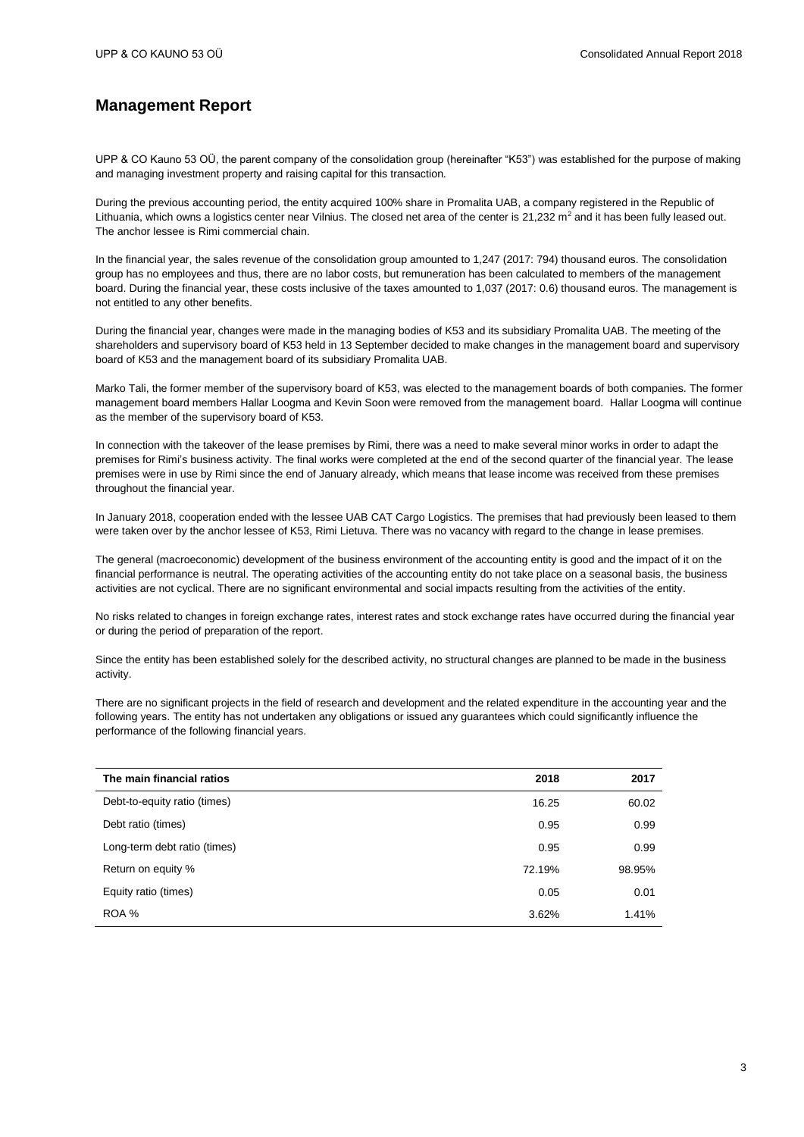### <span id="page-2-0"></span>**Management Report**

UPP & CO Kauno 53 OÜ, the parent company of the consolidation group (hereinafter "K53") was established for the purpose of making and managing investment property and raising capital for this transaction.

During the previous accounting period, the entity acquired 100% share in Promalita UAB, a company registered in the Republic of Lithuania, which owns a logistics center near Vilnius. The closed net area of the center is  $21,232$  m<sup>2</sup> and it has been fully leased out. The anchor lessee is Rimi commercial chain.

In the financial year, the sales revenue of the consolidation group amounted to 1,247 (2017: 794) thousand euros. The consolidation group has no employees and thus, there are no labor costs, but remuneration has been calculated to members of the management board. During the financial year, these costs inclusive of the taxes amounted to 1,037 (2017: 0.6) thousand euros. The management is not entitled to any other benefits.

During the financial year, changes were made in the managing bodies of K53 and its subsidiary Promalita UAB. The meeting of the shareholders and supervisory board of K53 held in 13 September decided to make changes in the management board and supervisory board of K53 and the management board of its subsidiary Promalita UAB.

Marko Tali, the former member of the supervisory board of K53, was elected to the management boards of both companies. The former management board members Hallar Loogma and Kevin Soon were removed from the management board. Hallar Loogma will continue as the member of the supervisory board of K53.

In connection with the takeover of the lease premises by Rimi, there was a need to make several minor works in order to adapt the premises for Rimi's business activity. The final works were completed at the end of the second quarter of the financial year. The lease premises were in use by Rimi since the end of January already, which means that lease income was received from these premises throughout the financial year.

In January 2018, cooperation ended with the lessee UAB CAT Cargo Logistics. The premises that had previously been leased to them were taken over by the anchor lessee of K53, Rimi Lietuva. There was no vacancy with regard to the change in lease premises.

The general (macroeconomic) development of the business environment of the accounting entity is good and the impact of it on the financial performance is neutral. The operating activities of the accounting entity do not take place on a seasonal basis, the business activities are not cyclical. There are no significant environmental and social impacts resulting from the activities of the entity.

No risks related to changes in foreign exchange rates, interest rates and stock exchange rates have occurred during the financial year or during the period of preparation of the report.

Since the entity has been established solely for the described activity, no structural changes are planned to be made in the business activity.

There are no significant projects in the field of research and development and the related expenditure in the accounting year and the following years. The entity has not undertaken any obligations or issued any guarantees which could significantly influence the performance of the following financial years.

| The main financial ratios    | 2018   | 2017   |
|------------------------------|--------|--------|
| Debt-to-equity ratio (times) | 16.25  | 60.02  |
| Debt ratio (times)           | 0.95   | 0.99   |
| Long-term debt ratio (times) | 0.95   | 0.99   |
| Return on equity %           | 72.19% | 98.95% |
| Equity ratio (times)         | 0.05   | 0.01   |
| ROA %                        | 3.62%  | 1.41%  |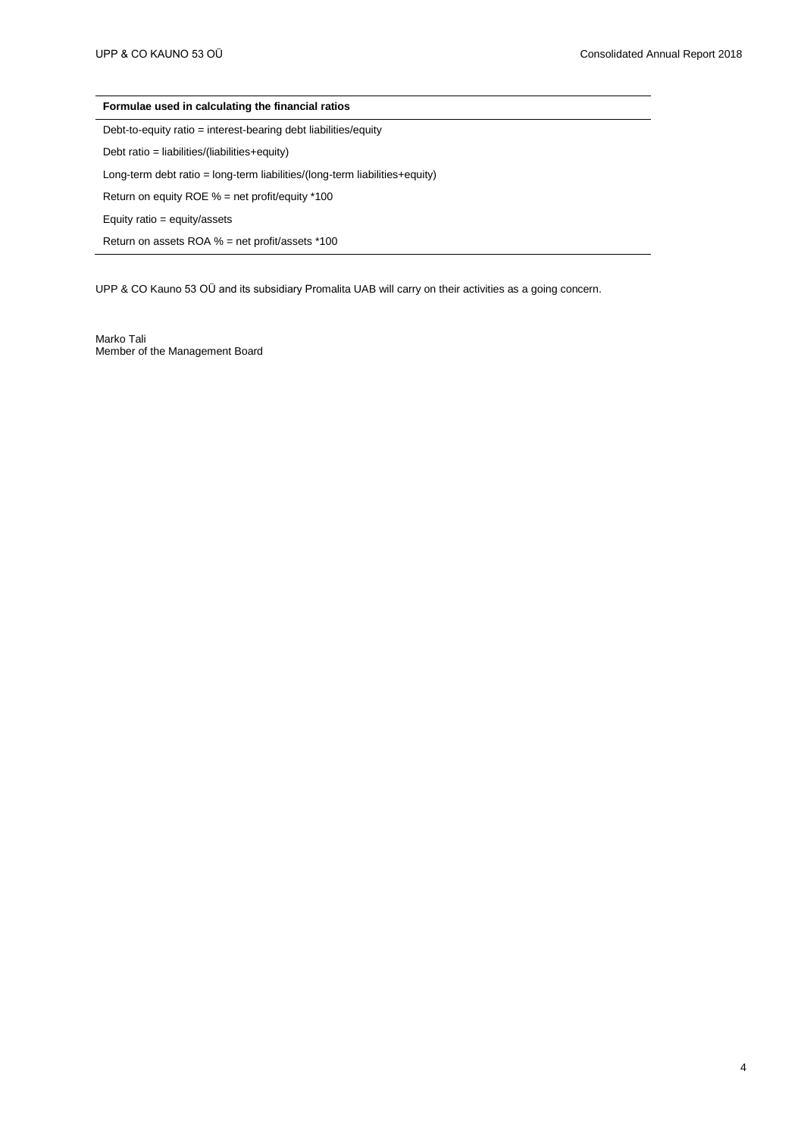### **Formulae used in calculating the financial ratios**

Debt-to-equity ratio = interest-bearing debt liabilities/equity

Debt ratio = liabilities/(liabilities+equity)

Long-term debt ratio = long-term liabilities/(long-term liabilities+equity)

Return on equity ROE % = net profit/equity \*100

Equity ratio = equity/assets

Return on assets ROA % = net profit/assets \*100

UPP & CO Kauno 53 OÜ and its subsidiary Promalita UAB will carry on their activities as a going concern.

Marko Tali Member of the Management Board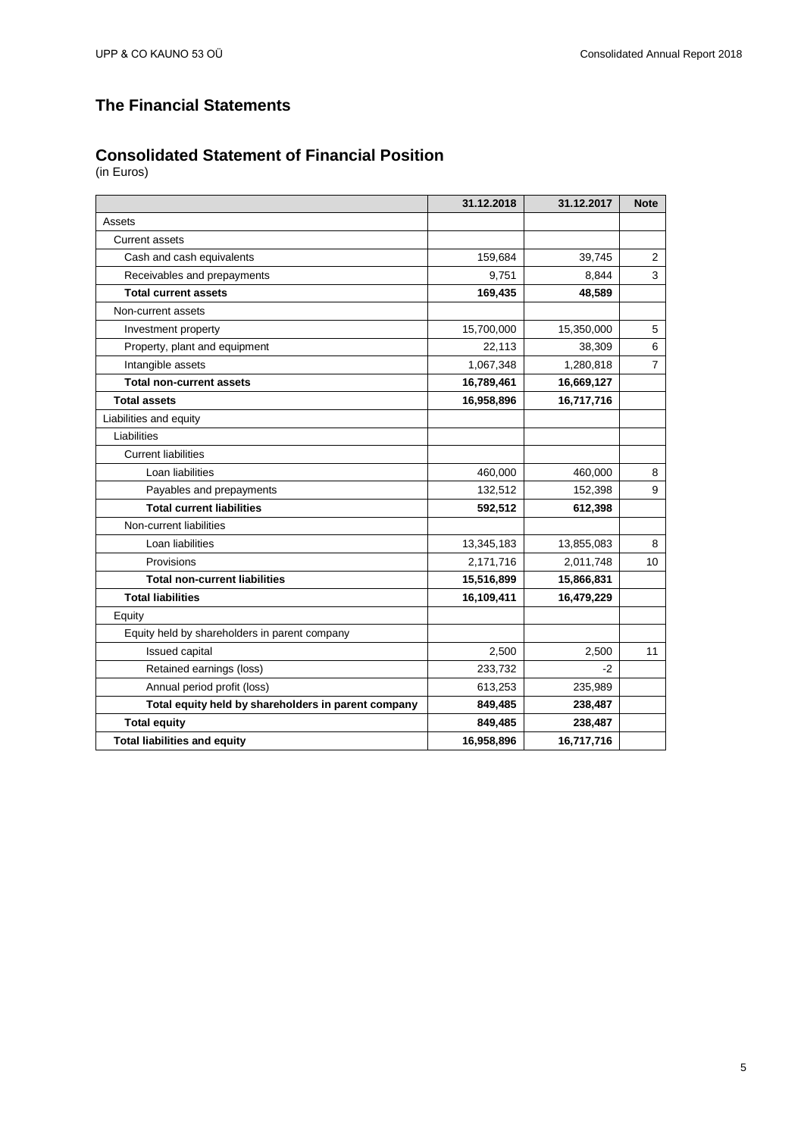## <span id="page-4-0"></span>**The Financial Statements**

# <span id="page-4-1"></span>**Consolidated Statement of Financial Position**

|                                                     | 31.12.2018 | 31.12.2017 | <b>Note</b>    |
|-----------------------------------------------------|------------|------------|----------------|
| Assets                                              |            |            |                |
| <b>Current assets</b>                               |            |            |                |
| Cash and cash equivalents                           | 159,684    | 39,745     | $\overline{2}$ |
| Receivables and prepayments                         | 9.751      | 8,844      | 3              |
| <b>Total current assets</b>                         | 169,435    | 48,589     |                |
| Non-current assets                                  |            |            |                |
| Investment property                                 | 15,700,000 | 15,350,000 | 5              |
| Property, plant and equipment                       | 22.113     | 38,309     | 6              |
| Intangible assets                                   | 1,067,348  | 1,280,818  | $\overline{7}$ |
| <b>Total non-current assets</b>                     | 16,789,461 | 16,669,127 |                |
| <b>Total assets</b>                                 | 16,958,896 | 16,717,716 |                |
| Liabilities and equity                              |            |            |                |
| Liabilities                                         |            |            |                |
| <b>Current liabilities</b>                          |            |            |                |
| Loan liabilities                                    | 460,000    | 460,000    | 8              |
| Payables and prepayments                            | 132,512    | 152,398    | 9              |
| <b>Total current liabilities</b>                    | 592,512    | 612,398    |                |
| Non-current liabilities                             |            |            |                |
| Loan liabilities                                    | 13,345,183 | 13,855,083 | 8              |
| Provisions                                          | 2,171,716  | 2,011,748  | 10             |
| <b>Total non-current liabilities</b>                | 15,516,899 | 15,866,831 |                |
| <b>Total liabilities</b>                            | 16,109,411 | 16,479,229 |                |
| Equity                                              |            |            |                |
| Equity held by shareholders in parent company       |            |            |                |
| Issued capital                                      | 2,500      | 2,500      | 11             |
| Retained earnings (loss)                            | 233,732    | $-2$       |                |
| Annual period profit (loss)                         | 613,253    | 235,989    |                |
| Total equity held by shareholders in parent company | 849,485    | 238,487    |                |
| <b>Total equity</b>                                 | 849,485    | 238,487    |                |
| <b>Total liabilities and equity</b>                 | 16,958,896 | 16,717,716 |                |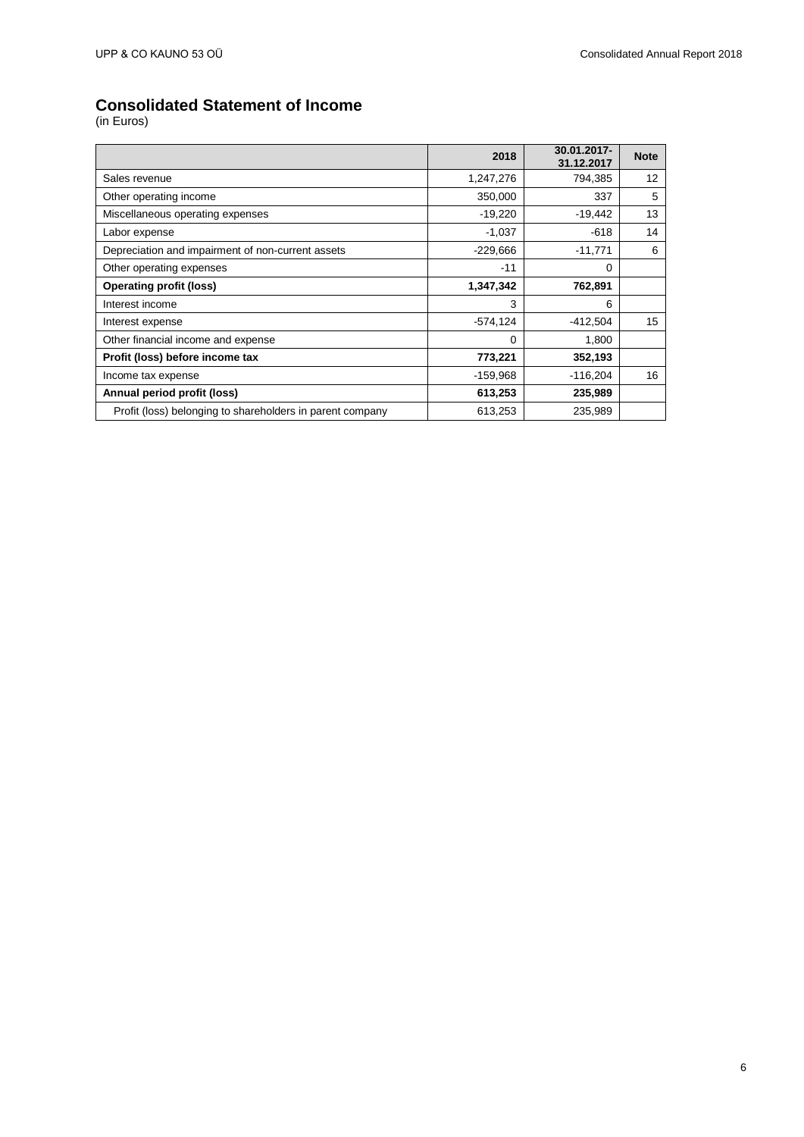## <span id="page-5-0"></span>**Consolidated Statement of Income**

|                                                           | 2018       | 30.01.2017-<br>31.12.2017 | <b>Note</b> |
|-----------------------------------------------------------|------------|---------------------------|-------------|
| Sales revenue                                             | 1,247,276  | 794,385                   | 12          |
| Other operating income                                    | 350,000    | 337                       | 5           |
| Miscellaneous operating expenses                          | $-19,220$  | -19,442                   | 13          |
| Labor expense                                             | $-1,037$   | $-618$                    | 14          |
| Depreciation and impairment of non-current assets         | $-229,666$ | $-11,771$                 | 6           |
| Other operating expenses                                  | $-11$      | 0                         |             |
| <b>Operating profit (loss)</b>                            | 1,347,342  | 762,891                   |             |
| Interest income                                           | 3          | 6                         |             |
| Interest expense                                          | $-574,124$ | -412,504                  | 15          |
| Other financial income and expense                        | 0          | 1,800                     |             |
| Profit (loss) before income tax                           | 773,221    | 352,193                   |             |
| Income tax expense                                        | -159,968   | -116,204                  | 16          |
| Annual period profit (loss)                               | 613,253    | 235,989                   |             |
| Profit (loss) belonging to shareholders in parent company | 613,253    | 235,989                   |             |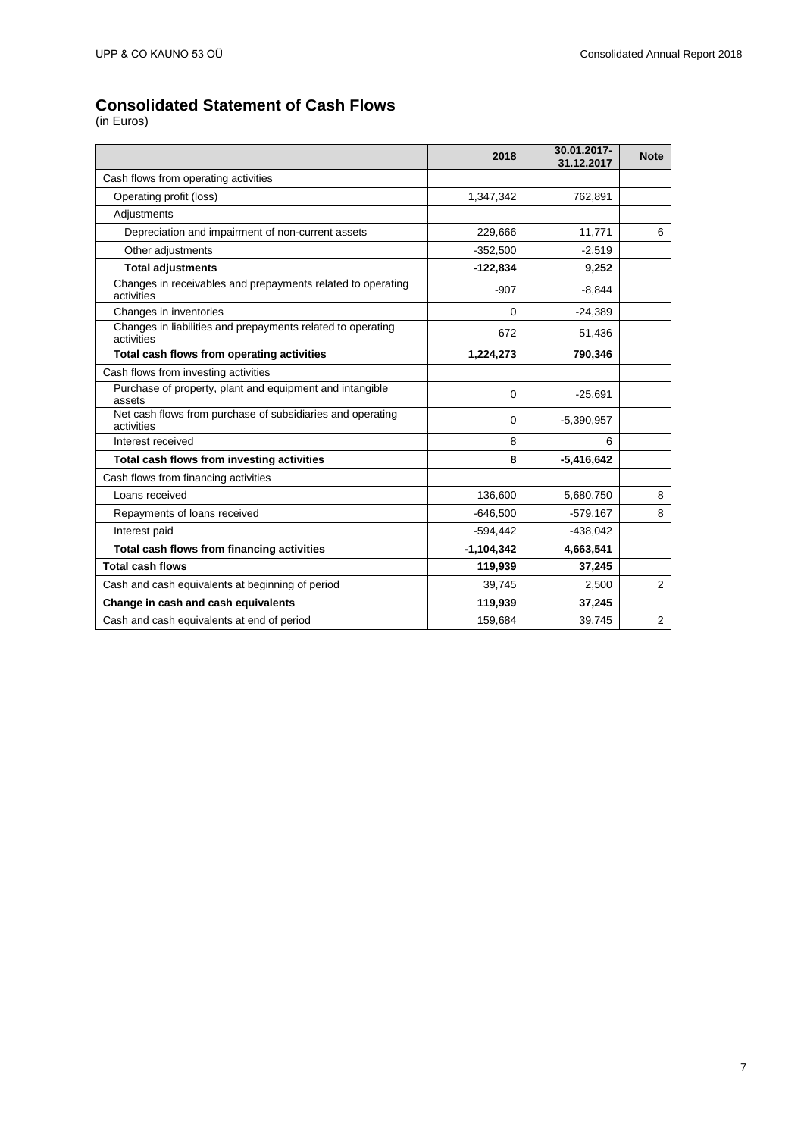## <span id="page-6-0"></span>**Consolidated Statement of Cash Flows**

|                                                                           | 2018           | 30.01.2017-<br>31.12.2017 | <b>Note</b>    |
|---------------------------------------------------------------------------|----------------|---------------------------|----------------|
| Cash flows from operating activities                                      |                |                           |                |
| Operating profit (loss)                                                   | 1,347,342      | 762,891                   |                |
| Adjustments                                                               |                |                           |                |
| Depreciation and impairment of non-current assets                         | 229,666        | 11,771                    | 6              |
| Other adjustments                                                         | $-352,500$     | $-2,519$                  |                |
| <b>Total adjustments</b>                                                  | $-122,834$     | 9,252                     |                |
| Changes in receivables and prepayments related to operating<br>activities | $-907$         | $-8,844$                  |                |
| Changes in inventories                                                    | $\Omega$       | $-24,389$                 |                |
| Changes in liabilities and prepayments related to operating<br>activities | 672            | 51,436                    |                |
| Total cash flows from operating activities                                | 1,224,273      | 790,346                   |                |
| Cash flows from investing activities                                      |                |                           |                |
| Purchase of property, plant and equipment and intangible<br>assets        | 0              | $-25,691$                 |                |
| Net cash flows from purchase of subsidiaries and operating<br>activities  | $\Omega$       | $-5,390,957$              |                |
| Interest received                                                         | 8              | 6                         |                |
| Total cash flows from investing activities                                | 8              | $-5,416,642$              |                |
| Cash flows from financing activities                                      |                |                           |                |
| Loans received                                                            | 136,600        | 5,680,750                 | 8              |
| Repayments of loans received                                              | $-646,500$     | $-579,167$                | 8              |
| Interest paid                                                             | $-594,442$     | $-438,042$                |                |
| Total cash flows from financing activities                                | $-1, 104, 342$ | 4,663,541                 |                |
| <b>Total cash flows</b>                                                   | 119,939        | 37,245                    |                |
| Cash and cash equivalents at beginning of period                          | 39,745         | 2,500                     | 2              |
| Change in cash and cash equivalents                                       | 119,939        | 37,245                    |                |
| Cash and cash equivalents at end of period                                | 159,684        | 39,745                    | $\overline{2}$ |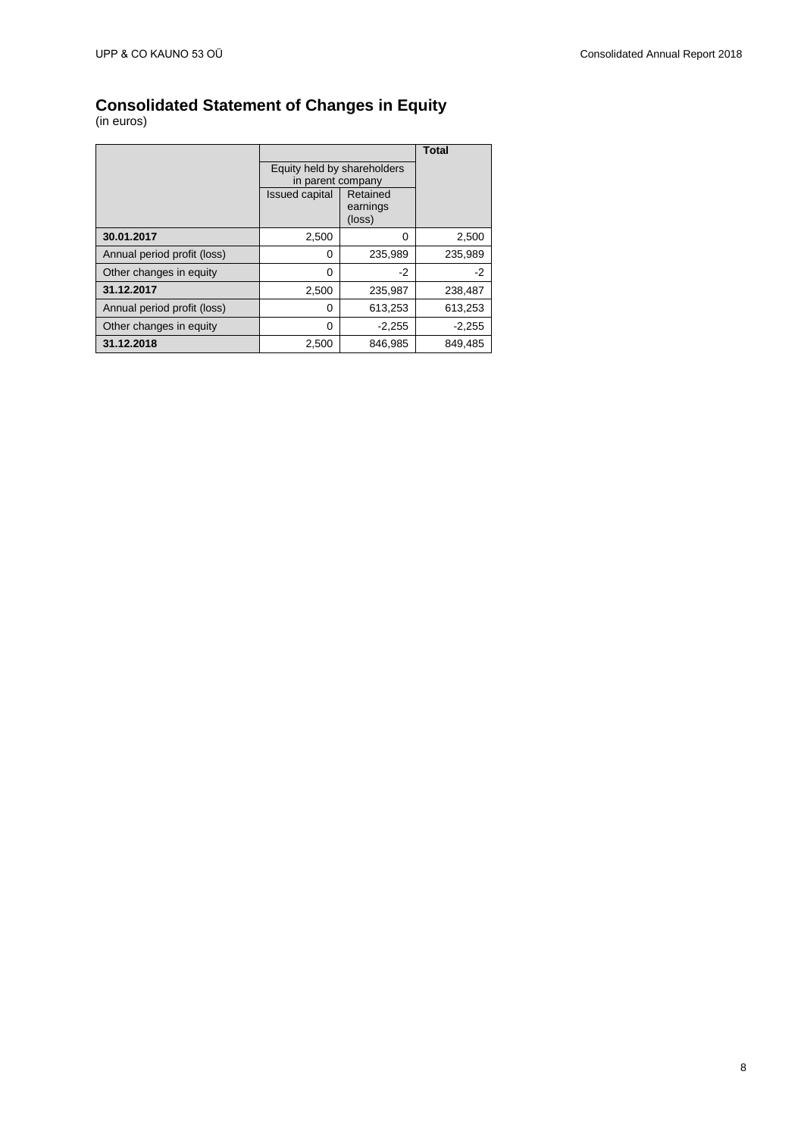## <span id="page-7-0"></span>**Consolidated Statement of Changes in Equity**

(in euros)

|                             |                             | <b>Total</b>      |          |  |
|-----------------------------|-----------------------------|-------------------|----------|--|
|                             | Equity held by shareholders |                   |          |  |
|                             |                             | in parent company |          |  |
|                             | <b>Issued capital</b>       | Retained          |          |  |
|                             |                             | earnings          |          |  |
|                             |                             | (loss)            |          |  |
| 30.01.2017                  | 2,500                       | 0                 | 2,500    |  |
| Annual period profit (loss) | 0                           | 235,989           | 235,989  |  |
| Other changes in equity     | 0                           | $-2$              | $-2$     |  |
| 31.12.2017                  | 2,500                       | 235,987           | 238,487  |  |
| Annual period profit (loss) | 0                           | 613,253           | 613,253  |  |
| Other changes in equity     | 0                           | $-2,255$          | $-2,255$ |  |
| 31.12.2018                  | 2,500                       | 846,985           | 849,485  |  |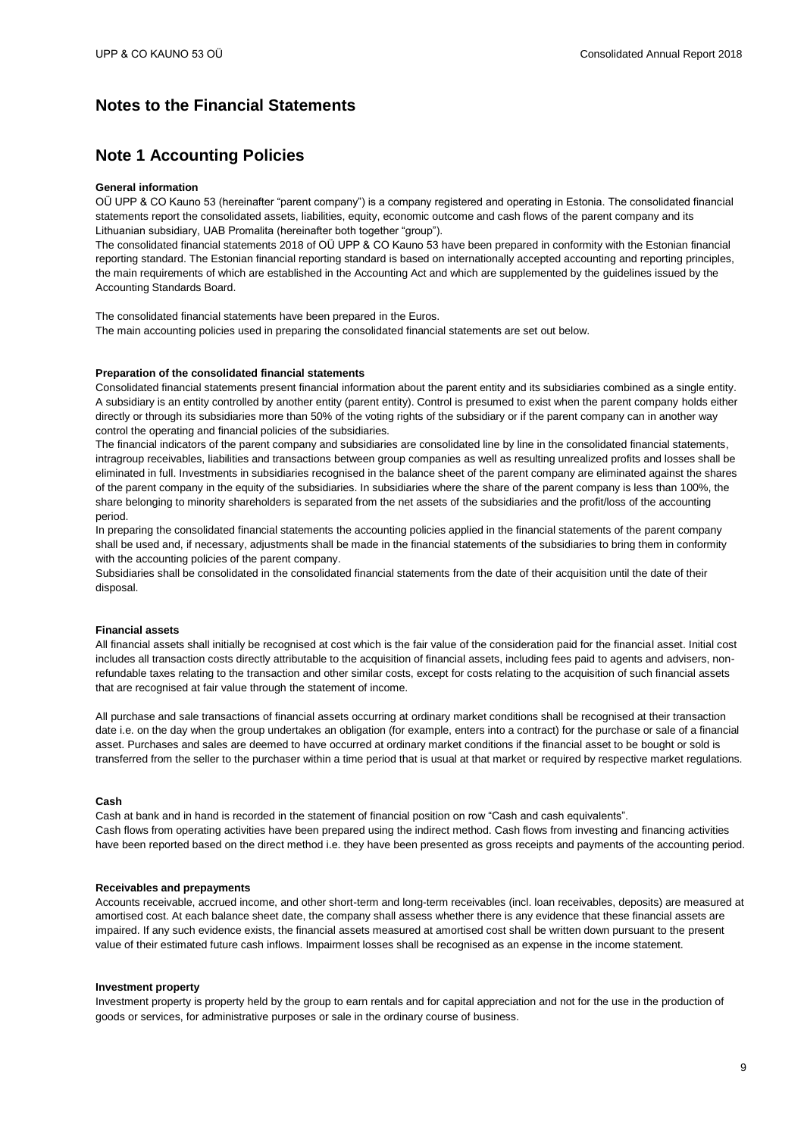### <span id="page-8-0"></span>**Notes to the Financial Statements**

### <span id="page-8-1"></span>**Note 1 Accounting Policies**

### **General information**

OÜ UPP & CO Kauno 53 (hereinafter "parent company") is a company registered and operating in Estonia. The consolidated financial statements report the consolidated assets, liabilities, equity, economic outcome and cash flows of the parent company and its Lithuanian subsidiary, UAB Promalita (hereinafter both together "group").

The consolidated financial statements 2018 of OÜ UPP & CO Kauno 53 have been prepared in conformity with the Estonian financial reporting standard. The Estonian financial reporting standard is based on internationally accepted accounting and reporting principles, the main requirements of which are established in the Accounting Act and which are supplemented by the guidelines issued by the Accounting Standards Board.

The consolidated financial statements have been prepared in the Euros. The main accounting policies used in preparing the consolidated financial statements are set out below.

#### **Preparation of the consolidated financial statements**

Consolidated financial statements present financial information about the parent entity and its subsidiaries combined as a single entity. A subsidiary is an entity controlled by another entity (parent entity). Control is presumed to exist when the parent company holds either directly or through its subsidiaries more than 50% of the voting rights of the subsidiary or if the parent company can in another way control the operating and financial policies of the subsidiaries.

The financial indicators of the parent company and subsidiaries are consolidated line by line in the consolidated financial statements, intragroup receivables, liabilities and transactions between group companies as well as resulting unrealized profits and losses shall be eliminated in full. Investments in subsidiaries recognised in the balance sheet of the parent company are eliminated against the shares of the parent company in the equity of the subsidiaries. In subsidiaries where the share of the parent company is less than 100%, the share belonging to minority shareholders is separated from the net assets of the subsidiaries and the profit/loss of the accounting period.

In preparing the consolidated financial statements the accounting policies applied in the financial statements of the parent company shall be used and, if necessary, adjustments shall be made in the financial statements of the subsidiaries to bring them in conformity with the accounting policies of the parent company.

Subsidiaries shall be consolidated in the consolidated financial statements from the date of their acquisition until the date of their disposal.

### **Financial assets**

All financial assets shall initially be recognised at cost which is the fair value of the consideration paid for the financial asset. Initial cost includes all transaction costs directly attributable to the acquisition of financial assets, including fees paid to agents and advisers, nonrefundable taxes relating to the transaction and other similar costs, except for costs relating to the acquisition of such financial assets that are recognised at fair value through the statement of income.

All purchase and sale transactions of financial assets occurring at ordinary market conditions shall be recognised at their transaction date i.e. on the day when the group undertakes an obligation (for example, enters into a contract) for the purchase or sale of a financial asset. Purchases and sales are deemed to have occurred at ordinary market conditions if the financial asset to be bought or sold is transferred from the seller to the purchaser within a time period that is usual at that market or required by respective market regulations.

#### **Cash**

Cash at bank and in hand is recorded in the statement of financial position on row "Cash and cash equivalents". Cash flows from operating activities have been prepared using the indirect method. Cash flows from investing and financing activities have been reported based on the direct method i.e. they have been presented as gross receipts and payments of the accounting period.

### **Receivables and prepayments**

Accounts receivable, accrued income, and other short-term and long-term receivables (incl. loan receivables, deposits) are measured at amortised cost. At each balance sheet date, the company shall assess whether there is any evidence that these financial assets are impaired. If any such evidence exists, the financial assets measured at amortised cost shall be written down pursuant to the present value of their estimated future cash inflows. Impairment losses shall be recognised as an expense in the income statement.

#### **Investment property**

Investment property is property held by the group to earn rentals and for capital appreciation and not for the use in the production of goods or services, for administrative purposes or sale in the ordinary course of business.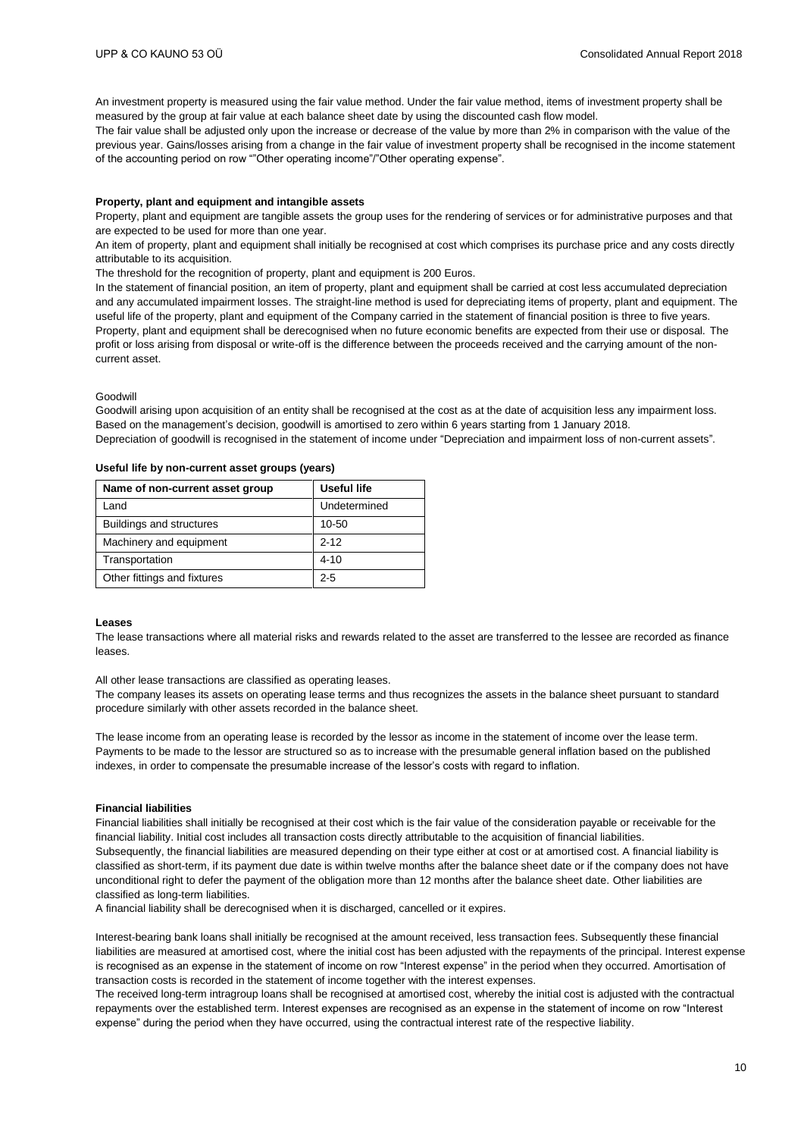An investment property is measured using the fair value method. Under the fair value method, items of investment property shall be measured by the group at fair value at each balance sheet date by using the discounted cash flow model.

The fair value shall be adjusted only upon the increase or decrease of the value by more than 2% in comparison with the value of the previous year. Gains/losses arising from a change in the fair value of investment property shall be recognised in the income statement of the accounting period on row ""Other operating income"/"Other operating expense".

### **Property, plant and equipment and intangible assets**

Property, plant and equipment are tangible assets the group uses for the rendering of services or for administrative purposes and that are expected to be used for more than one year.

An item of property, plant and equipment shall initially be recognised at cost which comprises its purchase price and any costs directly attributable to its acquisition.

The threshold for the recognition of property, plant and equipment is 200 Euros.

In the statement of financial position, an item of property, plant and equipment shall be carried at cost less accumulated depreciation and any accumulated impairment losses. The straight-line method is used for depreciating items of property, plant and equipment. The useful life of the property, plant and equipment of the Company carried in the statement of financial position is three to five years. Property, plant and equipment shall be derecognised when no future economic benefits are expected from their use or disposal. The profit or loss arising from disposal or write-off is the difference between the proceeds received and the carrying amount of the noncurrent asset.

### Goodwill

Goodwill arising upon acquisition of an entity shall be recognised at the cost as at the date of acquisition less any impairment loss. Based on the management's decision, goodwill is amortised to zero within 6 years starting from 1 January 2018. Depreciation of goodwill is recognised in the statement of income under "Depreciation and impairment loss of non-current assets".

| Name of non-current asset group | <b>Useful life</b> |
|---------------------------------|--------------------|
| Land                            | Undetermined       |
| <b>Buildings and structures</b> | 10-50              |
| Machinery and equipment         | $2 - 12$           |
| Transportation                  | $4 - 10$           |
| Other fittings and fixtures     | $2 - 5$            |

### **Useful life by non-current asset groups (years)**

#### **Leases**

The lease transactions where all material risks and rewards related to the asset are transferred to the lessee are recorded as finance leases.

All other lease transactions are classified as operating leases.

The company leases its assets on operating lease terms and thus recognizes the assets in the balance sheet pursuant to standard procedure similarly with other assets recorded in the balance sheet.

The lease income from an operating lease is recorded by the lessor as income in the statement of income over the lease term. Payments to be made to the lessor are structured so as to increase with the presumable general inflation based on the published indexes, in order to compensate the presumable increase of the lessor's costs with regard to inflation.

#### **Financial liabilities**

Financial liabilities shall initially be recognised at their cost which is the fair value of the consideration payable or receivable for the financial liability. Initial cost includes all transaction costs directly attributable to the acquisition of financial liabilities. Subsequently, the financial liabilities are measured depending on their type either at cost or at amortised cost. A financial liability is classified as short-term, if its payment due date is within twelve months after the balance sheet date or if the company does not have unconditional right to defer the payment of the obligation more than 12 months after the balance sheet date. Other liabilities are classified as long-term liabilities.

A financial liability shall be derecognised when it is discharged, cancelled or it expires.

Interest-bearing bank loans shall initially be recognised at the amount received, less transaction fees. Subsequently these financial liabilities are measured at amortised cost, where the initial cost has been adjusted with the repayments of the principal. Interest expense is recognised as an expense in the statement of income on row "Interest expense" in the period when they occurred. Amortisation of transaction costs is recorded in the statement of income together with the interest expenses.

The received long-term intragroup loans shall be recognised at amortised cost, whereby the initial cost is adjusted with the contractual repayments over the established term. Interest expenses are recognised as an expense in the statement of income on row "Interest expense" during the period when they have occurred, using the contractual interest rate of the respective liability.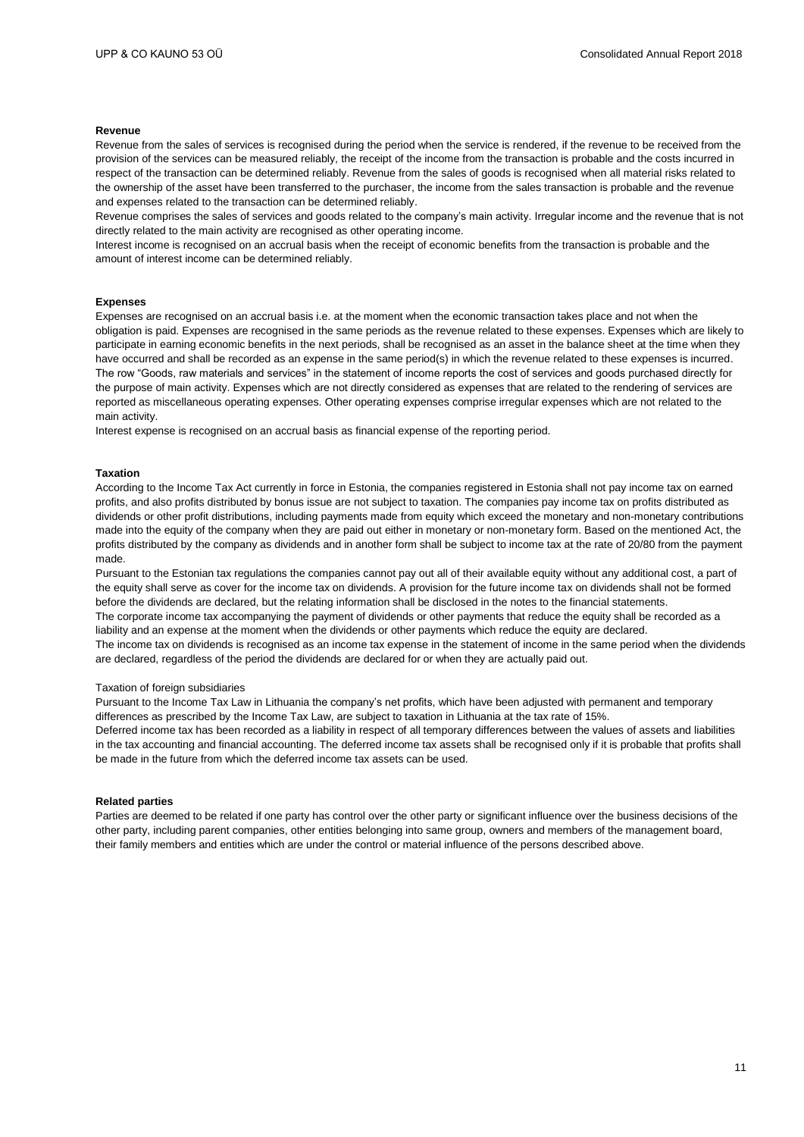#### **Revenue**

Revenue from the sales of services is recognised during the period when the service is rendered, if the revenue to be received from the provision of the services can be measured reliably, the receipt of the income from the transaction is probable and the costs incurred in respect of the transaction can be determined reliably. Revenue from the sales of goods is recognised when all material risks related to the ownership of the asset have been transferred to the purchaser, the income from the sales transaction is probable and the revenue and expenses related to the transaction can be determined reliably.

Revenue comprises the sales of services and goods related to the company's main activity. Irregular income and the revenue that is not directly related to the main activity are recognised as other operating income.

Interest income is recognised on an accrual basis when the receipt of economic benefits from the transaction is probable and the amount of interest income can be determined reliably.

#### **Expenses**

Expenses are recognised on an accrual basis i.e. at the moment when the economic transaction takes place and not when the obligation is paid. Expenses are recognised in the same periods as the revenue related to these expenses. Expenses which are likely to participate in earning economic benefits in the next periods, shall be recognised as an asset in the balance sheet at the time when they have occurred and shall be recorded as an expense in the same period(s) in which the revenue related to these expenses is incurred. The row "Goods, raw materials and services" in the statement of income reports the cost of services and goods purchased directly for the purpose of main activity. Expenses which are not directly considered as expenses that are related to the rendering of services are reported as miscellaneous operating expenses. Other operating expenses comprise irregular expenses which are not related to the main activity.

Interest expense is recognised on an accrual basis as financial expense of the reporting period.

#### **Taxation**

According to the Income Tax Act currently in force in Estonia, the companies registered in Estonia shall not pay income tax on earned profits, and also profits distributed by bonus issue are not subject to taxation. The companies pay income tax on profits distributed as dividends or other profit distributions, including payments made from equity which exceed the monetary and non-monetary contributions made into the equity of the company when they are paid out either in monetary or non-monetary form. Based on the mentioned Act, the profits distributed by the company as dividends and in another form shall be subject to income tax at the rate of 20/80 from the payment made.

Pursuant to the Estonian tax regulations the companies cannot pay out all of their available equity without any additional cost, a part of the equity shall serve as cover for the income tax on dividends. A provision for the future income tax on dividends shall not be formed before the dividends are declared, but the relating information shall be disclosed in the notes to the financial statements. The corporate income tax accompanying the payment of dividends or other payments that reduce the equity shall be recorded as a liability and an expense at the moment when the dividends or other payments which reduce the equity are declared. The income tax on dividends is recognised as an income tax expense in the statement of income in the same period when the dividends are declared, regardless of the period the dividends are declared for or when they are actually paid out.

#### Taxation of foreign subsidiaries

Pursuant to the Income Tax Law in Lithuania the company's net profits, which have been adjusted with permanent and temporary differences as prescribed by the Income Tax Law, are subject to taxation in Lithuania at the tax rate of 15%.

Deferred income tax has been recorded as a liability in respect of all temporary differences between the values of assets and liabilities in the tax accounting and financial accounting. The deferred income tax assets shall be recognised only if it is probable that profits shall be made in the future from which the deferred income tax assets can be used.

#### **Related parties**

Parties are deemed to be related if one party has control over the other party or significant influence over the business decisions of the other party, including parent companies, other entities belonging into same group, owners and members of the management board, their family members and entities which are under the control or material influence of the persons described above.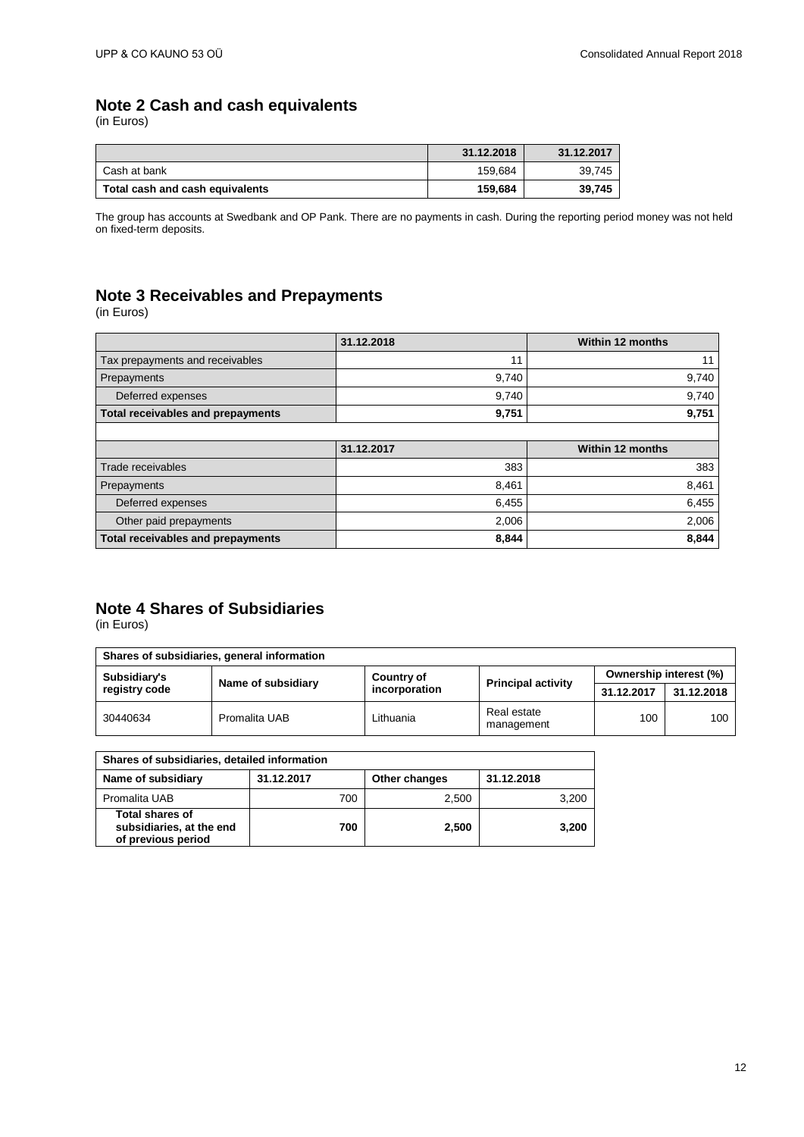## <span id="page-11-0"></span>**Note 2 Cash and cash equivalents**

(in Euros)

|                                 | 31.12.2018 | 31.12.2017 |
|---------------------------------|------------|------------|
| Cash at bank                    | 159.684    | 39.745     |
| Total cash and cash equivalents | 159,684    | 39.745     |

The group has accounts at Swedbank and OP Pank. There are no payments in cash. During the reporting period money was not held on fixed-term deposits.

## <span id="page-11-1"></span>**Note 3 Receivables and Prepayments**

(in Euros)

|                                          | 31.12.2018 | <b>Within 12 months</b> |
|------------------------------------------|------------|-------------------------|
| Tax prepayments and receivables          | 11         | 11                      |
| Prepayments                              | 9,740      | 9,740                   |
| Deferred expenses                        | 9,740      | 9,740                   |
| <b>Total receivables and prepayments</b> | 9,751      | 9,751                   |
|                                          |            |                         |
|                                          | 31.12.2017 | Within 12 months        |
| Trade receivables                        | 383        | 383                     |
| Prepayments                              | 8,461      | 8,461                   |
| Deferred expenses                        | 6,455      | 6,455                   |
| Other paid prepayments                   | 2,006      | 2,006                   |
| Total receivables and prepayments        | 8,844      | 8,844                   |

### <span id="page-11-2"></span>**Note 4 Shares of Subsidiaries**

| Shares of subsidiaries, general information |               |                   |                           |                        |            |
|---------------------------------------------|---------------|-------------------|---------------------------|------------------------|------------|
| Subsidiary's<br>Name of subsidiary          |               | <b>Country of</b> | <b>Principal activity</b> | Ownership interest (%) |            |
| registry code                               |               | incorporation     |                           | 31.12.2017             | 31.12.2018 |
| 30440634                                    | Promalita UAB | Lithuania         | Real estate<br>management | 100                    | 100        |

| Shares of subsidiaries, detailed information                      |            |     |               |            |       |
|-------------------------------------------------------------------|------------|-----|---------------|------------|-------|
| Name of subsidiary                                                | 31.12.2017 |     | Other changes | 31.12.2018 |       |
| Promalita UAB                                                     |            | 700 | 2.500         |            | 3,200 |
| Total shares of<br>subsidiaries, at the end<br>of previous period |            | 700 | 2,500         |            | 3,200 |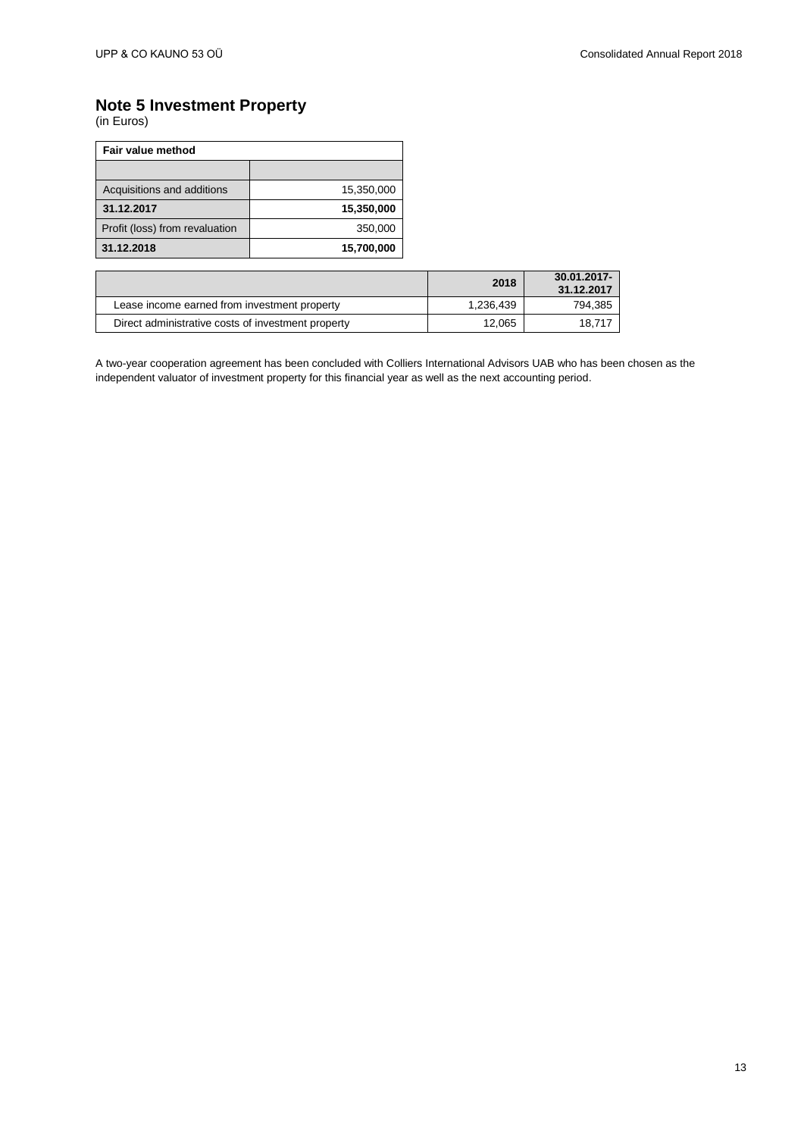### <span id="page-12-0"></span>**Note 5 Investment Property**

(in Euros)

| Fair value method              |            |
|--------------------------------|------------|
|                                |            |
| Acquisitions and additions     | 15,350,000 |
| 31.12.2017                     | 15,350,000 |
| Profit (loss) from revaluation | 350,000    |
| 31.12.2018                     | 15,700,000 |

|                                                    | 2018      | 30.01.2017-<br>31.12.2017 |
|----------------------------------------------------|-----------|---------------------------|
| Lease income earned from investment property       | 1.236.439 | 794,385                   |
| Direct administrative costs of investment property | 12.065    | 18.717                    |

A two-year cooperation agreement has been concluded with Colliers International Advisors UAB who has been chosen as the independent valuator of investment property for this financial year as well as the next accounting period.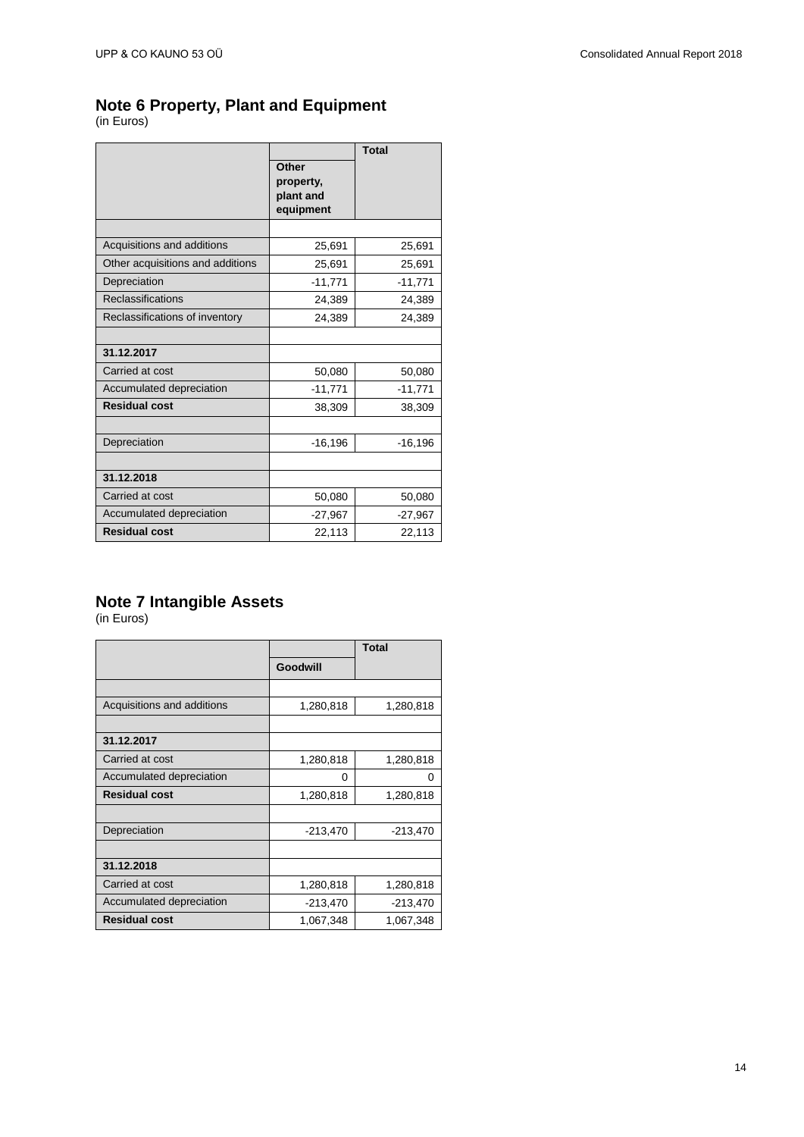## <span id="page-13-0"></span>**Note 6 Property, Plant and Equipment**

(in Euros)

|                                  |                    | <b>Total</b> |
|----------------------------------|--------------------|--------------|
|                                  | Other<br>property, |              |
|                                  | plant and          |              |
|                                  | equipment          |              |
|                                  |                    |              |
| Acquisitions and additions       | 25,691             | 25,691       |
| Other acquisitions and additions | 25,691             | 25,691       |
| Depreciation                     | $-11,771$          | $-11,771$    |
| <b>Reclassifications</b>         | 24,389             | 24,389       |
| Reclassifications of inventory   | 24,389             | 24,389       |
|                                  |                    |              |
| 31.12.2017                       |                    |              |
| Carried at cost                  | 50,080             | 50,080       |
| Accumulated depreciation         | $-11,771$          | $-11,771$    |
| <b>Residual cost</b>             | 38,309             | 38,309       |
|                                  |                    |              |
| Depreciation                     | $-16,196$          | $-16,196$    |
|                                  |                    |              |
| 31.12.2018                       |                    |              |
| Carried at cost                  | 50,080             | 50,080       |
| Accumulated depreciation         | $-27,967$          | $-27,967$    |
| <b>Residual cost</b>             | 22,113             | 22,113       |

### <span id="page-13-1"></span>**Note 7 Intangible Assets**

|                            |            | <b>Total</b> |
|----------------------------|------------|--------------|
|                            | Goodwill   |              |
|                            |            |              |
| Acquisitions and additions | 1,280,818  | 1,280,818    |
|                            |            |              |
| 31.12.2017                 |            |              |
| Carried at cost            | 1,280,818  | 1,280,818    |
| Accumulated depreciation   | 0          | 0            |
| <b>Residual cost</b>       | 1,280,818  | 1,280,818    |
|                            |            |              |
| Depreciation               | $-213,470$ | $-213,470$   |
|                            |            |              |
| 31.12.2018                 |            |              |
| Carried at cost            | 1,280,818  | 1,280,818    |
| Accumulated depreciation   | $-213,470$ | $-213,470$   |
| <b>Residual cost</b>       | 1,067,348  | 1,067,348    |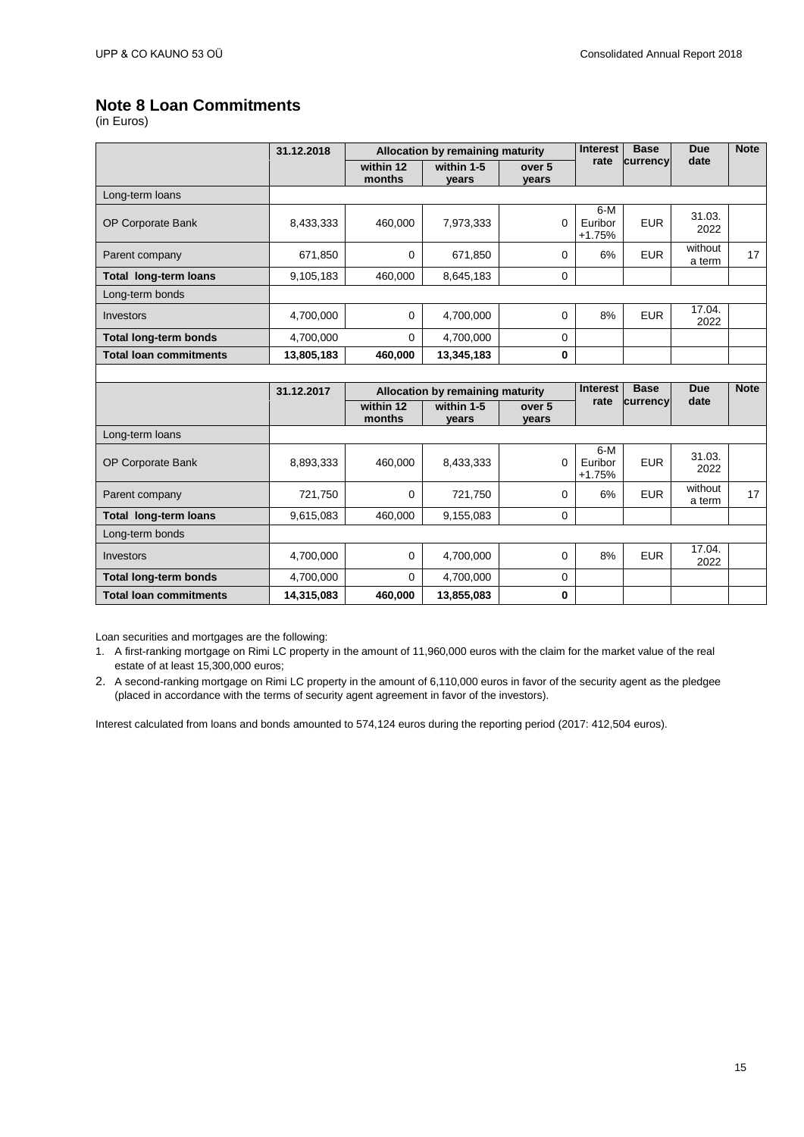## <span id="page-14-0"></span>**Note 8 Loan Commitments**

(in Euros)

|                               | 31.12.2018 |                       | Allocation by remaining maturity        |                 | <b>Interest</b>              | <b>Base</b> | <b>Due</b>        | <b>Note</b> |
|-------------------------------|------------|-----------------------|-----------------------------------------|-----------------|------------------------------|-------------|-------------------|-------------|
|                               |            | within 12             | within 1-5                              | over 5          | rate                         | currency    | date              |             |
|                               |            | months                | vears                                   | years           |                              |             |                   |             |
| Long-term loans               |            |                       |                                         |                 |                              |             |                   |             |
| OP Corporate Bank             | 8,433,333  | 460,000               | 7,973,333                               | 0               | $6-M$<br>Euribor<br>$+1.75%$ | <b>EUR</b>  | 31.03.<br>2022    |             |
| Parent company                | 671,850    | $\mathbf 0$           | 671,850                                 | 0               | 6%                           | <b>EUR</b>  | without<br>a term | 17          |
| Total long-term loans         | 9,105,183  | 460,000               | 8,645,183                               | 0               |                              |             |                   |             |
| Long-term bonds               |            |                       |                                         |                 |                              |             |                   |             |
| Investors                     | 4,700,000  | $\mathbf 0$           | 4,700,000                               | 0               | 8%                           | <b>EUR</b>  | 17.04.<br>2022    |             |
| <b>Total long-term bonds</b>  | 4,700,000  | $\Omega$              | 4,700,000                               | $\mathbf 0$     |                              |             |                   |             |
| <b>Total loan commitments</b> | 13,805,183 | 460,000               | 13,345,183                              | 0               |                              |             |                   |             |
|                               |            |                       |                                         |                 |                              |             |                   |             |
|                               | 31.12.2017 |                       | <b>Allocation by remaining maturity</b> |                 | <b>Interest</b>              | <b>Base</b> | <b>Due</b>        | <b>Note</b> |
|                               |            | within $12$<br>months | within 1-5<br>vears                     | over 5<br>vears | rate                         | currency    | date              |             |
| Long-term loans               |            |                       |                                         |                 |                              |             |                   |             |
| OP Corporate Bank             | 8,893,333  | 460,000               | 8,433,333                               | 0               | $6-M$<br>Euribor<br>$+1.75%$ | <b>EUR</b>  | 31.03.<br>2022    |             |
| Parent company                | 721,750    | $\mathbf 0$           | 721,750                                 | $\mathbf 0$     | 6%                           | <b>EUR</b>  | without<br>a term | 17          |
| Total long-term loans         | 9,615,083  | 460,000               | 9,155,083                               | $\mathbf 0$     |                              |             |                   |             |
| Long-term bonds               |            |                       |                                         |                 |                              |             |                   |             |
| Investors                     | 4,700,000  | $\mathbf 0$           | 4,700,000                               | 0               | 8%                           | <b>EUR</b>  | 17.04.<br>2022    |             |
| <b>Total long-term bonds</b>  | 4,700,000  | $\Omega$              | 4,700,000                               | 0               |                              |             |                   |             |
| <b>Total loan commitments</b> | 14,315,083 | 460.000               | 13.855.083                              | 0               |                              |             |                   |             |

Loan securities and mortgages are the following:

1. A first-ranking mortgage on Rimi LC property in the amount of 11,960,000 euros with the claim for the market value of the real estate of at least 15,300,000 euros;

2. A second-ranking mortgage on Rimi LC property in the amount of 6,110,000 euros in favor of the security agent as the pledgee (placed in accordance with the terms of security agent agreement in favor of the investors).

Interest calculated from loans and bonds amounted to 574,124 euros during the reporting period (2017: 412,504 euros).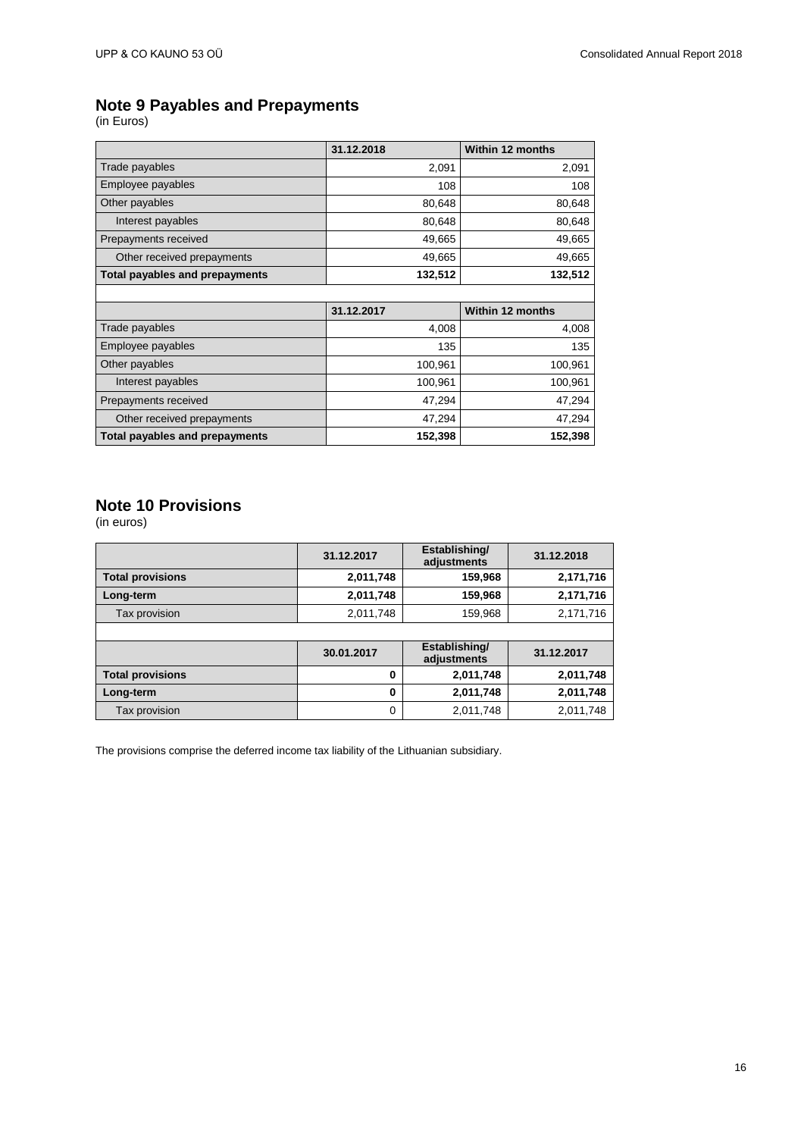### <span id="page-15-0"></span>**Note 9 Payables and Prepayments**

(in Euros)

|                                       | 31.12.2018 | <b>Within 12 months</b> |
|---------------------------------------|------------|-------------------------|
| Trade payables                        | 2,091      | 2,091                   |
| Employee payables                     | 108        | 108                     |
| Other payables                        | 80,648     | 80,648                  |
| Interest payables                     | 80,648     | 80,648                  |
| Prepayments received                  | 49,665     | 49,665                  |
| Other received prepayments            | 49,665     | 49,665                  |
| <b>Total payables and prepayments</b> | 132,512    | 132,512                 |
|                                       |            |                         |
|                                       | 31.12.2017 | <b>Within 12 months</b> |
| Trade payables                        | 4,008      | 4,008                   |
| Employee payables                     | 135        | 135                     |
| Other payables                        | 100,961    | 100,961                 |
| Interest payables                     | 100,961    | 100,961                 |
| Prepayments received                  | 47,294     | 47,294                  |
| Other received prepayments            | 47,294     | 47,294                  |
| Total payables and prepayments        | 152,398    | 152,398                 |

## <span id="page-15-1"></span>**Note 10 Provisions**

(in euros)

|                         | 31.12.2017 | Establishing/<br>adjustments | 31.12.2018 |
|-------------------------|------------|------------------------------|------------|
| <b>Total provisions</b> | 2,011,748  | 159,968                      | 2,171,716  |
| Long-term               | 2,011,748  | 159,968                      | 2,171,716  |
| Tax provision           | 2,011,748  | 159,968                      | 2,171,716  |
|                         |            |                              |            |
|                         | 30.01.2017 | Establishing/<br>adjustments | 31.12.2017 |
| <b>Total provisions</b> | 0          | 2,011,748                    | 2,011,748  |
| Long-term               | 0          | 2,011,748                    | 2,011,748  |
| Tax provision           | 0          | 2,011,748                    | 2,011,748  |

The provisions comprise the deferred income tax liability of the Lithuanian subsidiary.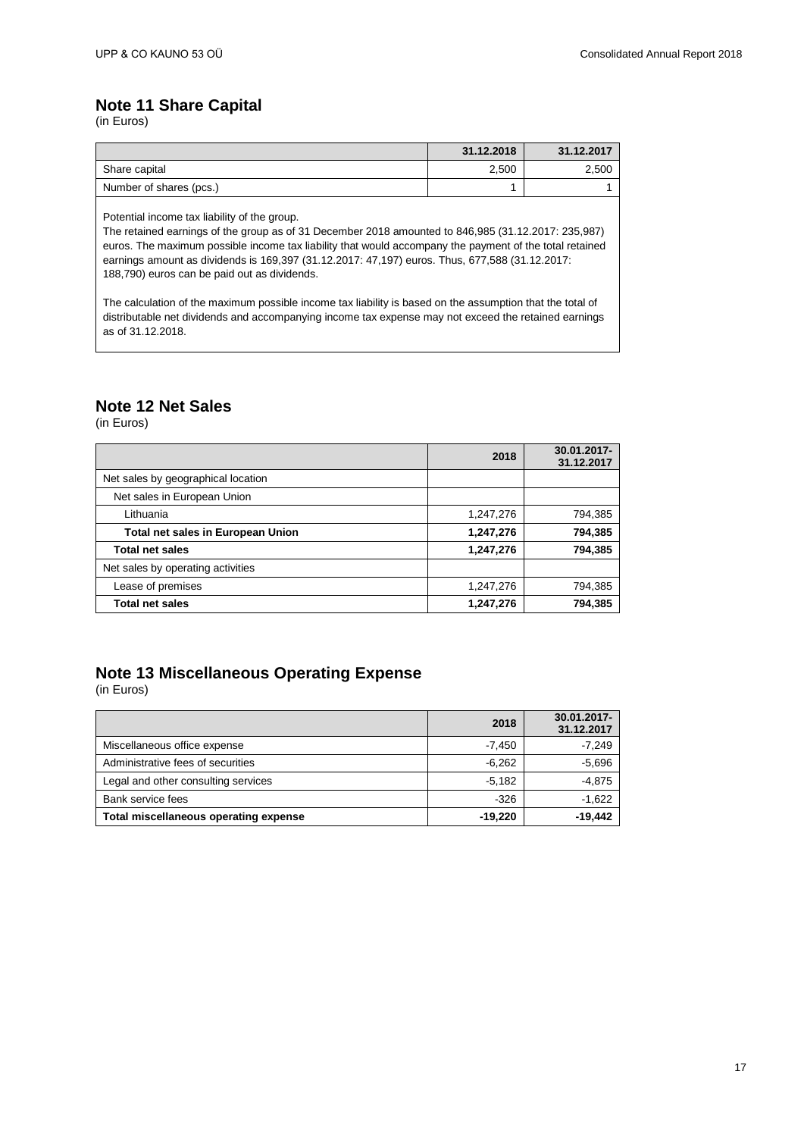## <span id="page-16-0"></span>**Note 11 Share Capital**

(in Euros)

|                         | 31.12.2018 | 31.12.2017 |
|-------------------------|------------|------------|
| Share capital           | 2,500      | 2,500      |
| Number of shares (pcs.) |            |            |

Potential income tax liability of the group.

The retained earnings of the group as of 31 December 2018 amounted to 846,985 (31.12.2017: 235,987) euros. The maximum possible income tax liability that would accompany the payment of the total retained earnings amount as dividends is 169,397 (31.12.2017: 47,197) euros. Thus, 677,588 (31.12.2017: 188,790) euros can be paid out as dividends.

The calculation of the maximum possible income tax liability is based on the assumption that the total of distributable net dividends and accompanying income tax expense may not exceed the retained earnings as of 31.12.2018.

### <span id="page-16-1"></span>**Note 12 Net Sales**

(in Euros)

|                                          | 2018      | 30.01.2017-<br>31.12.2017 |
|------------------------------------------|-----------|---------------------------|
| Net sales by geographical location       |           |                           |
| Net sales in European Union              |           |                           |
| Lithuania                                | 1,247,276 | 794,385                   |
| <b>Total net sales in European Union</b> | 1,247,276 | 794,385                   |
| <b>Total net sales</b>                   | 1,247,276 | 794,385                   |
| Net sales by operating activities        |           |                           |
| Lease of premises                        | 1,247,276 | 794,385                   |
| <b>Total net sales</b>                   | 1,247,276 | 794,385                   |

## <span id="page-16-2"></span>**Note 13 Miscellaneous Operating Expense**

|                                       | 2018      | 30.01.2017-<br>31.12.2017 |
|---------------------------------------|-----------|---------------------------|
| Miscellaneous office expense          | $-7,450$  | -7.249                    |
| Administrative fees of securities     | $-6,262$  | $-5,696$                  |
| Legal and other consulting services   | $-5.182$  | -4.875                    |
| Bank service fees                     | $-326$    | $-1,622$                  |
| Total miscellaneous operating expense | $-19,220$ | $-19,442$                 |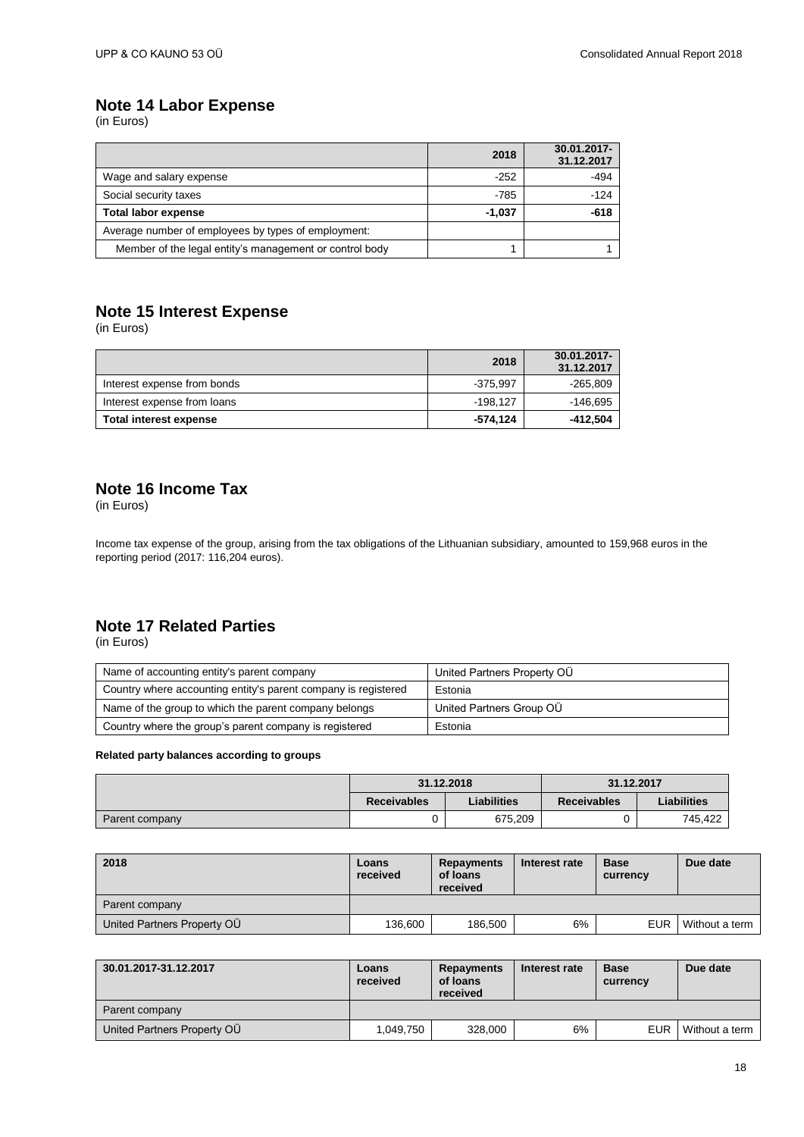### <span id="page-17-0"></span>**Note 14 Labor Expense**

(in Euros)

|                                                         | 2018     | 30.01.2017-<br>31.12.2017 |
|---------------------------------------------------------|----------|---------------------------|
| Wage and salary expense                                 | $-252$   | $-494$                    |
| Social security taxes                                   | $-785$   | -124                      |
| <b>Total labor expense</b>                              | $-1,037$ | $-618$                    |
| Average number of employees by types of employment:     |          |                           |
| Member of the legal entity's management or control body |          |                           |

## <span id="page-17-1"></span>**Note 15 Interest Expense**

(in Euros)

|                             | 2018       | 30.01.2017-<br>31.12.2017 |
|-----------------------------|------------|---------------------------|
| Interest expense from bonds | $-375.997$ | $-265.809$                |
| Interest expense from loans | $-198.127$ | -146.695                  |
| Total interest expense      | -574.124   | -412.504                  |

### <span id="page-17-2"></span>**Note 16 Income Tax**

(in Euros)

Income tax expense of the group, arising from the tax obligations of the Lithuanian subsidiary, amounted to 159,968 euros in the reporting period (2017: 116,204 euros).

### <span id="page-17-3"></span>**Note 17 Related Parties**

(in Euros)

| Name of accounting entity's parent company                     | United Partners Property OÜ |
|----------------------------------------------------------------|-----------------------------|
| Country where accounting entity's parent company is registered | Estonia                     |
| Name of the group to which the parent company belongs          | United Partners Group OÜ    |
| Country where the group's parent company is registered         | Estonia                     |

### **Related party balances according to groups**

|                | 31.12.2018                        |         | 31.12.2017  |             |  |
|----------------|-----------------------------------|---------|-------------|-------------|--|
|                | Liabilities<br><b>Receivables</b> |         | Receivables | Liabilities |  |
| Parent company |                                   | 675,209 |             | 745,422     |  |

| 2018                        | Loans<br>received | <b>Repayments</b><br>of loans<br>received | Interest rate | <b>Base</b><br>currency | Due date       |
|-----------------------------|-------------------|-------------------------------------------|---------------|-------------------------|----------------|
| Parent company              |                   |                                           |               |                         |                |
| United Partners Property OU | 136,600           | 186,500                                   | 6%            | <b>EUR</b>              | Without a term |

| 30.01.2017-31.12.2017       | Loans<br>received | <b>Repayments</b><br>of loans<br>received | Interest rate | <b>Base</b><br>currency | Due date       |
|-----------------------------|-------------------|-------------------------------------------|---------------|-------------------------|----------------|
| Parent company              |                   |                                           |               |                         |                |
| United Partners Property OU | 1.049.750         | 328,000                                   | 6%            | <b>EUR</b>              | Without a term |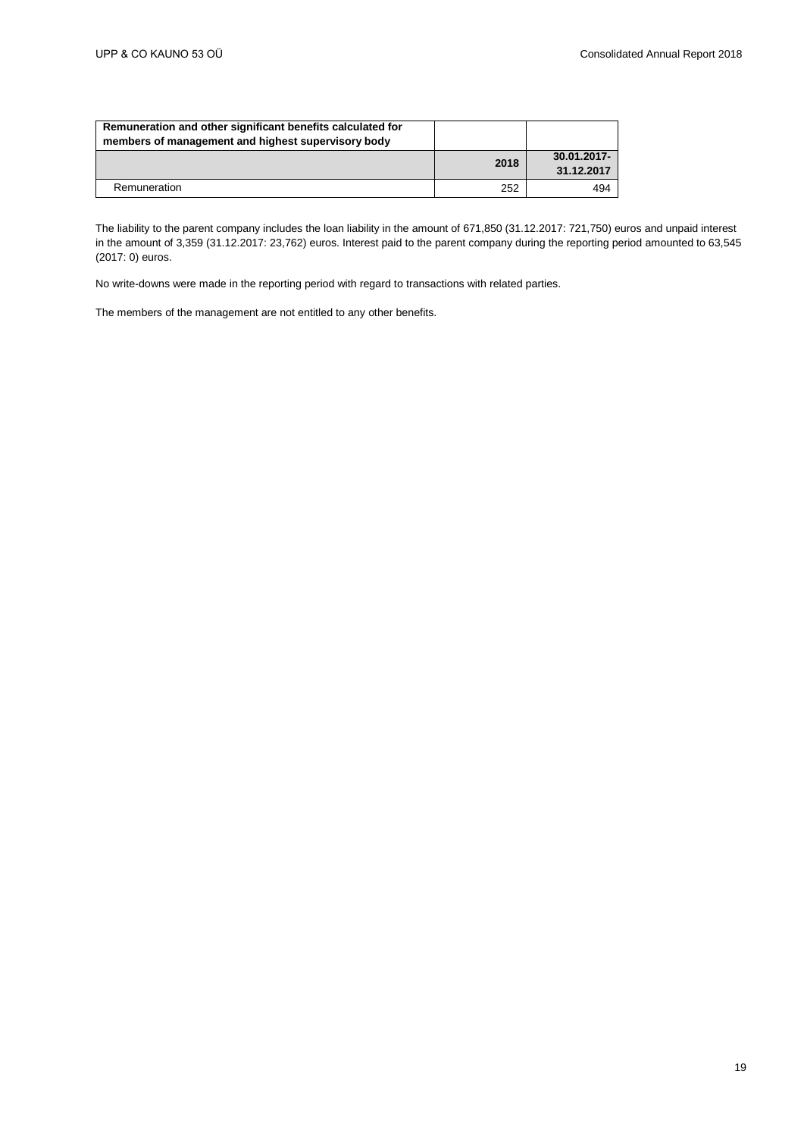| Remuneration and other significant benefits calculated for<br>members of management and highest supervisory body |      |                           |
|------------------------------------------------------------------------------------------------------------------|------|---------------------------|
|                                                                                                                  | 2018 | 30.01.2017-<br>31.12.2017 |
| Remuneration                                                                                                     | 252  | 494                       |

The liability to the parent company includes the loan liability in the amount of 671,850 (31.12.2017: 721,750) euros and unpaid interest in the amount of 3,359 (31.12.2017: 23,762) euros. Interest paid to the parent company during the reporting period amounted to 63,545 (2017: 0) euros.

No write-downs were made in the reporting period with regard to transactions with related parties.

The members of the management are not entitled to any other benefits.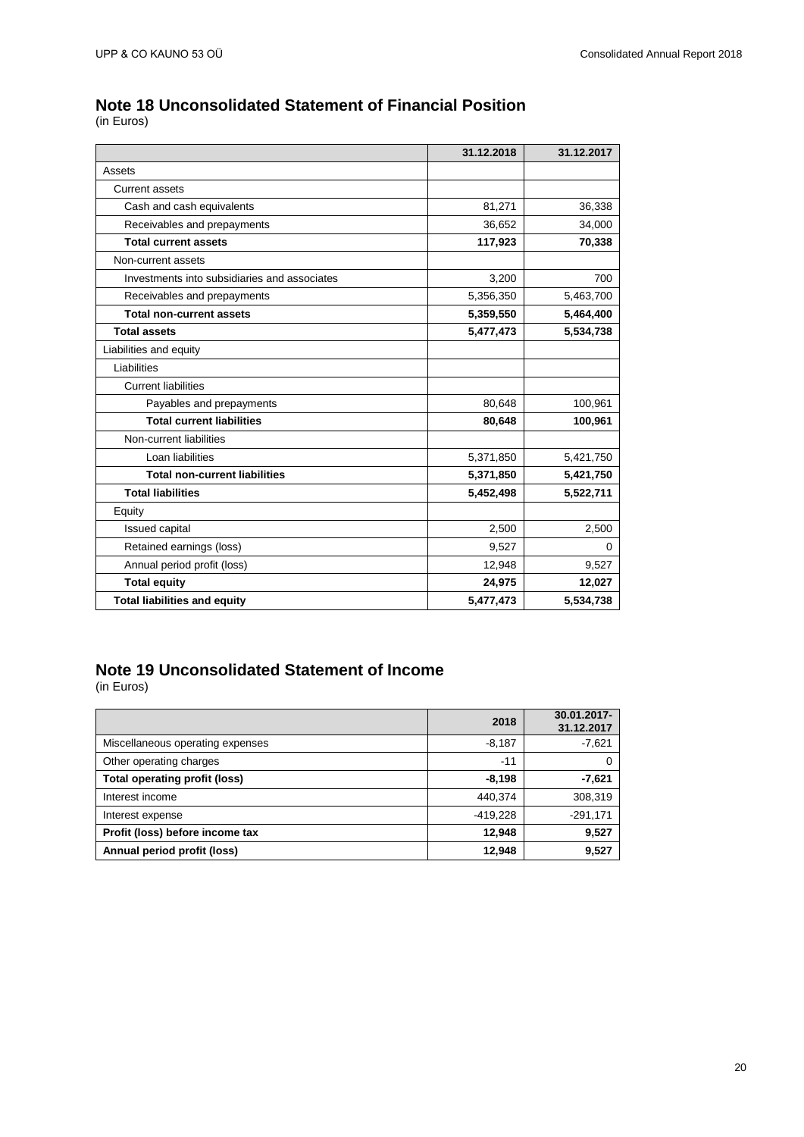## <span id="page-19-0"></span>**Note 18 Unconsolidated Statement of Financial Position**

(in Euros)

|                                              | 31.12.2018 | 31.12.2017 |
|----------------------------------------------|------------|------------|
| Assets                                       |            |            |
| Current assets                               |            |            |
| Cash and cash equivalents                    | 81,271     | 36,338     |
| Receivables and prepayments                  | 36,652     | 34,000     |
| <b>Total current assets</b>                  | 117,923    | 70,338     |
| Non-current assets                           |            |            |
| Investments into subsidiaries and associates | 3,200      | 700        |
| Receivables and prepayments                  | 5,356,350  | 5,463,700  |
| <b>Total non-current assets</b>              | 5,359,550  | 5,464,400  |
| <b>Total assets</b>                          | 5,477,473  | 5,534,738  |
| Liabilities and equity                       |            |            |
| Liabilities                                  |            |            |
| <b>Current liabilities</b>                   |            |            |
| Payables and prepayments                     | 80,648     | 100,961    |
| <b>Total current liabilities</b>             | 80,648     | 100,961    |
| Non-current liabilities                      |            |            |
| Loan liabilities                             | 5,371,850  | 5,421,750  |
| <b>Total non-current liabilities</b>         | 5,371,850  | 5,421,750  |
| <b>Total liabilities</b>                     | 5,452,498  | 5,522,711  |
| Equity                                       |            |            |
| <b>Issued capital</b>                        | 2,500      | 2,500      |
| Retained earnings (loss)                     | 9,527      | 0          |
| Annual period profit (loss)                  | 12,948     | 9,527      |
| <b>Total equity</b>                          | 24,975     | 12,027     |
| <b>Total liabilities and equity</b>          | 5.477.473  | 5,534,738  |

## <span id="page-19-1"></span>**Note 19 Unconsolidated Statement of Income**

|                                      | 2018       | 30.01.2017-<br>31.12.2017 |
|--------------------------------------|------------|---------------------------|
| Miscellaneous operating expenses     | $-8,187$   | $-7,621$                  |
| Other operating charges              | $-11$      | 0                         |
| <b>Total operating profit (loss)</b> | $-8,198$   | -7,621                    |
| Interest income                      | 440,374    | 308,319                   |
| Interest expense                     | $-419,228$ | $-291,171$                |
| Profit (loss) before income tax      | 12,948     | 9,527                     |
| Annual period profit (loss)          | 12,948     | 9,527                     |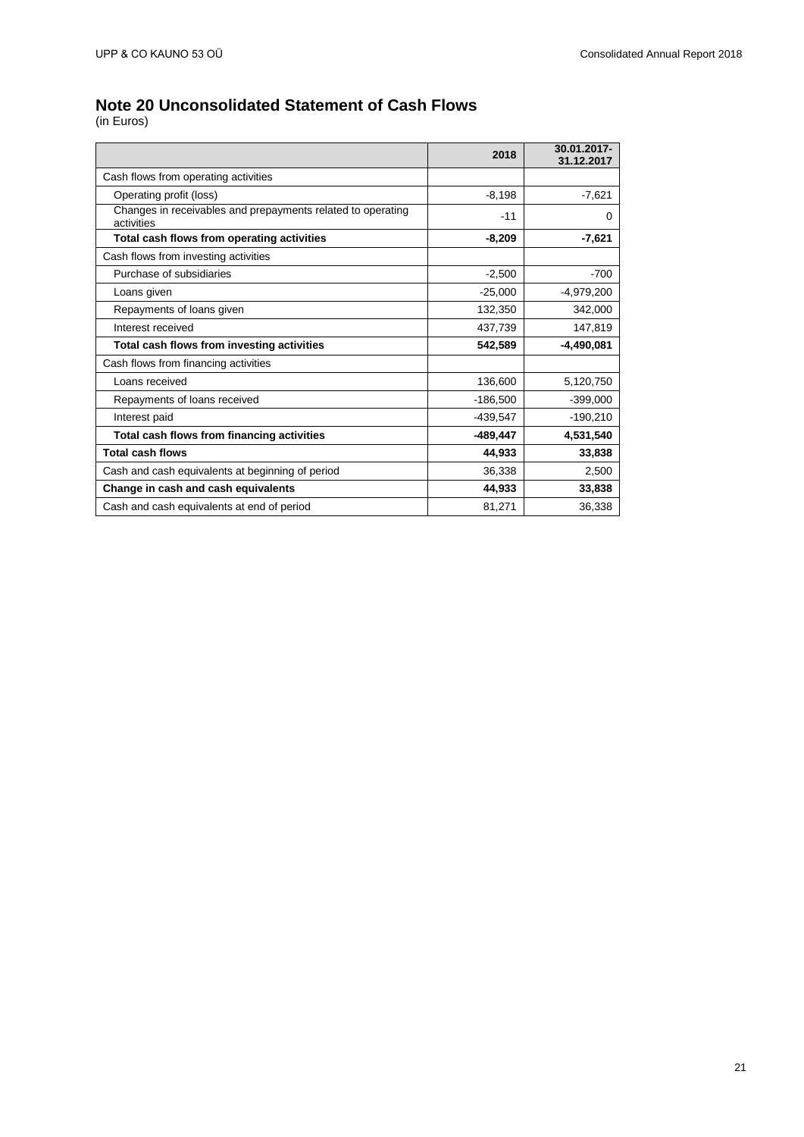# <span id="page-20-0"></span>**Note 20 Unconsolidated Statement of Cash Flows**

|                                                                           | 2018        | 30.01.2017-<br>31.12.2017 |
|---------------------------------------------------------------------------|-------------|---------------------------|
| Cash flows from operating activities                                      |             |                           |
| Operating profit (loss)                                                   | $-8,198$    | $-7,621$                  |
| Changes in receivables and prepayments related to operating<br>activities | $-11$       | 0                         |
| Total cash flows from operating activities                                | $-8,209$    | $-7,621$                  |
| Cash flows from investing activities                                      |             |                           |
| Purchase of subsidiaries                                                  | $-2,500$    | $-700$                    |
| Loans given                                                               | $-25,000$   | $-4,979,200$              |
| Repayments of loans given                                                 | 132,350     | 342,000                   |
| Interest received                                                         | 437,739     | 147,819                   |
| Total cash flows from investing activities                                | 542,589     | $-4,490,081$              |
| Cash flows from financing activities                                      |             |                           |
| Loans received                                                            | 136,600     | 5,120,750                 |
| Repayments of loans received                                              | $-186.500$  | $-399,000$                |
| Interest paid                                                             | $-439,547$  | $-190,210$                |
| Total cash flows from financing activities                                | $-489, 447$ | 4,531,540                 |
| <b>Total cash flows</b>                                                   | 44,933      | 33,838                    |
| Cash and cash equivalents at beginning of period                          | 36,338      | 2,500                     |
| Change in cash and cash equivalents                                       | 44,933      | 33,838                    |
| Cash and cash equivalents at end of period                                | 81,271      | 36,338                    |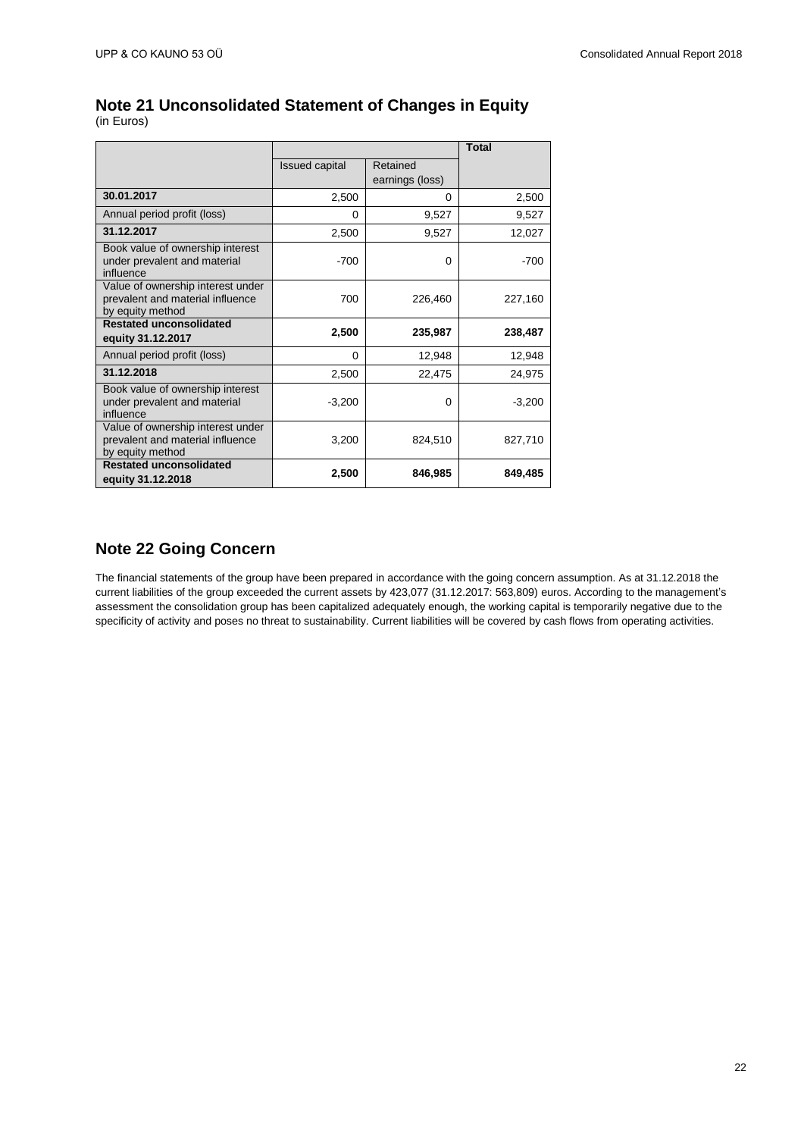### <span id="page-21-0"></span>**Note 21 Unconsolidated Statement of Changes in Equity** (in Euros)

|                                                                                           |                       |                 | <b>Total</b> |
|-------------------------------------------------------------------------------------------|-----------------------|-----------------|--------------|
|                                                                                           | <b>Issued capital</b> | Retained        |              |
|                                                                                           |                       | earnings (loss) |              |
| 30.01.2017                                                                                | 2,500                 | 0               | 2,500        |
| Annual period profit (loss)                                                               | 0                     | 9,527           | 9,527        |
| 31.12.2017                                                                                | 2,500                 | 9,527           | 12,027       |
| Book value of ownership interest<br>under prevalent and material<br>influence             | $-700$                | 0               | $-700$       |
| Value of ownership interest under<br>prevalent and material influence<br>by equity method | 700                   | 226,460         | 227,160      |
| <b>Restated unconsolidated</b><br>equity 31.12.2017                                       | 2,500                 | 235,987         | 238,487      |
| Annual period profit (loss)                                                               | $\Omega$              | 12,948          | 12,948       |
| 31.12.2018                                                                                | 2,500                 | 22,475          | 24,975       |
| Book value of ownership interest<br>under prevalent and material<br>influence             | $-3.200$              | 0               | $-3,200$     |
| Value of ownership interest under<br>prevalent and material influence<br>by equity method | 3,200                 | 824,510         | 827,710      |
| <b>Restated unconsolidated</b><br>equity 31.12.2018                                       | 2,500                 | 846,985         | 849,485      |

## <span id="page-21-1"></span>**Note 22 Going Concern**

The financial statements of the group have been prepared in accordance with the going concern assumption. As at 31.12.2018 the current liabilities of the group exceeded the current assets by 423,077 (31.12.2017: 563,809) euros. According to the management's assessment the consolidation group has been capitalized adequately enough, the working capital is temporarily negative due to the specificity of activity and poses no threat to sustainability. Current liabilities will be covered by cash flows from operating activities.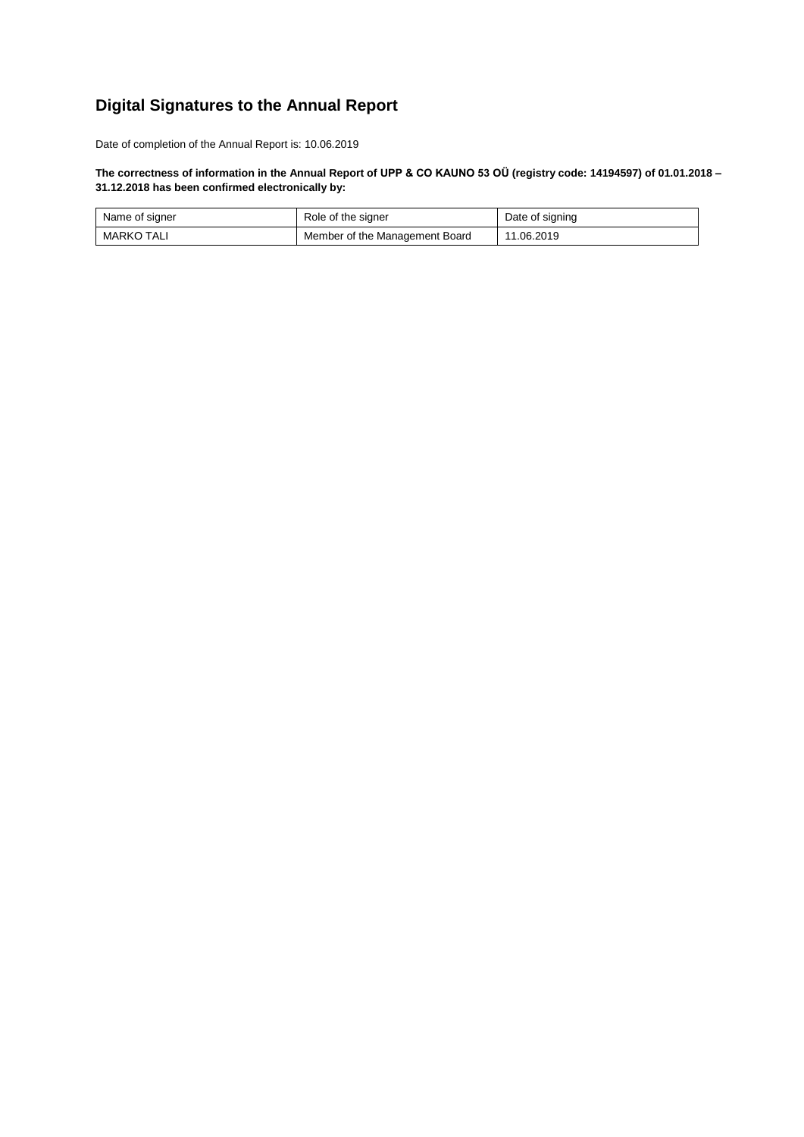# **Digital Signatures to the Annual Report**

Date of completion of the Annual Report is: 10.06.2019

**The correctness of information in the Annual Report of UPP & CO KAUNO 53 OÜ (registry code: 14194597) of 01.01.2018 – 31.12.2018 has been confirmed electronically by:** 

| Name of signer | Role of the signer             | Date of signing |
|----------------|--------------------------------|-----------------|
| MARKO TALI     | Member of the Management Board | 11.06.2019      |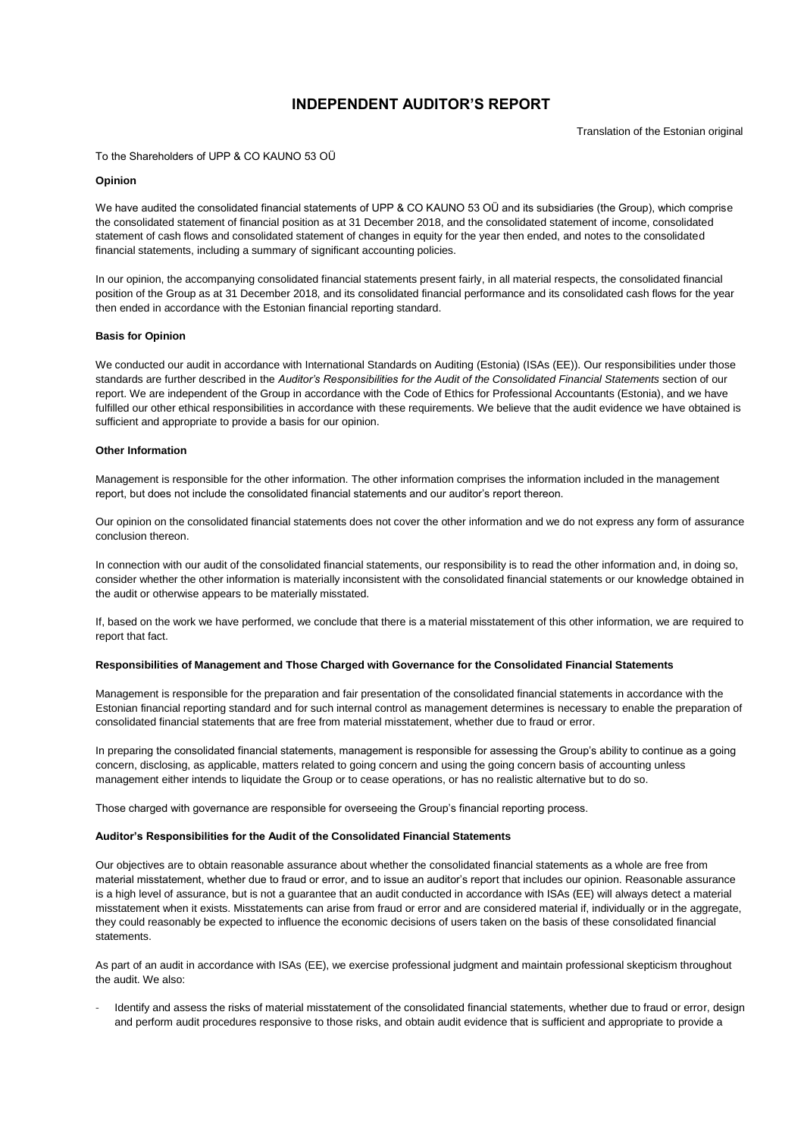### **INDEPENDENT AUDITOR'S REPORT**

Translation of the Estonian original

To the Shareholders of UPP & CO KAUNO 53 OÜ

#### **Opinion**

We have audited the consolidated financial statements of UPP & CO KAUNO 53 OÜ and its subsidiaries (the Group), which comprise the consolidated statement of financial position as at 31 December 2018, and the consolidated statement of income, consolidated statement of cash flows and consolidated statement of changes in equity for the year then ended, and notes to the consolidated financial statements, including a summary of significant accounting policies.

In our opinion, the accompanying consolidated financial statements present fairly, in all material respects, the consolidated financial position of the Group as at 31 December 2018, and its consolidated financial performance and its consolidated cash flows for the year then ended in accordance with the Estonian financial reporting standard.

#### **Basis for Opinion**

We conducted our audit in accordance with International Standards on Auditing (Estonia) (ISAs (EE)). Our responsibilities under those standards are further described in the *Auditor's Responsibilities for the Audit of the Consolidated Financial Statements* section of our report. We are independent of the Group in accordance with the Code of Ethics for Professional Accountants (Estonia), and we have fulfilled our other ethical responsibilities in accordance with these requirements. We believe that the audit evidence we have obtained is sufficient and appropriate to provide a basis for our opinion.

### **Other Information**

Management is responsible for the other information. The other information comprises the information included in the management report, but does not include the consolidated financial statements and our auditor's report thereon.

Our opinion on the consolidated financial statements does not cover the other information and we do not express any form of assurance conclusion thereon.

In connection with our audit of the consolidated financial statements, our responsibility is to read the other information and, in doing so, consider whether the other information is materially inconsistent with the consolidated financial statements or our knowledge obtained in the audit or otherwise appears to be materially misstated.

If, based on the work we have performed, we conclude that there is a material misstatement of this other information, we are required to report that fact.

#### **Responsibilities of Management and Those Charged with Governance for the Consolidated Financial Statements**

Management is responsible for the preparation and fair presentation of the consolidated financial statements in accordance with the Estonian financial reporting standard and for such internal control as management determines is necessary to enable the preparation of consolidated financial statements that are free from material misstatement, whether due to fraud or error.

In preparing the consolidated financial statements, management is responsible for assessing the Group's ability to continue as a going concern, disclosing, as applicable, matters related to going concern and using the going concern basis of accounting unless management either intends to liquidate the Group or to cease operations, or has no realistic alternative but to do so.

Those charged with governance are responsible for overseeing the Group's financial reporting process.

#### **Auditor's Responsibilities for the Audit of the Consolidated Financial Statements**

Our objectives are to obtain reasonable assurance about whether the consolidated financial statements as a whole are free from material misstatement, whether due to fraud or error, and to issue an auditor's report that includes our opinion. Reasonable assurance is a high level of assurance, but is not a guarantee that an audit conducted in accordance with ISAs (EE) will always detect a material misstatement when it exists. Misstatements can arise from fraud or error and are considered material if, individually or in the aggregate, they could reasonably be expected to influence the economic decisions of users taken on the basis of these consolidated financial statements.

As part of an audit in accordance with ISAs (EE), we exercise professional judgment and maintain professional skepticism throughout the audit. We also:

Identify and assess the risks of material misstatement of the consolidated financial statements, whether due to fraud or error, design and perform audit procedures responsive to those risks, and obtain audit evidence that is sufficient and appropriate to provide a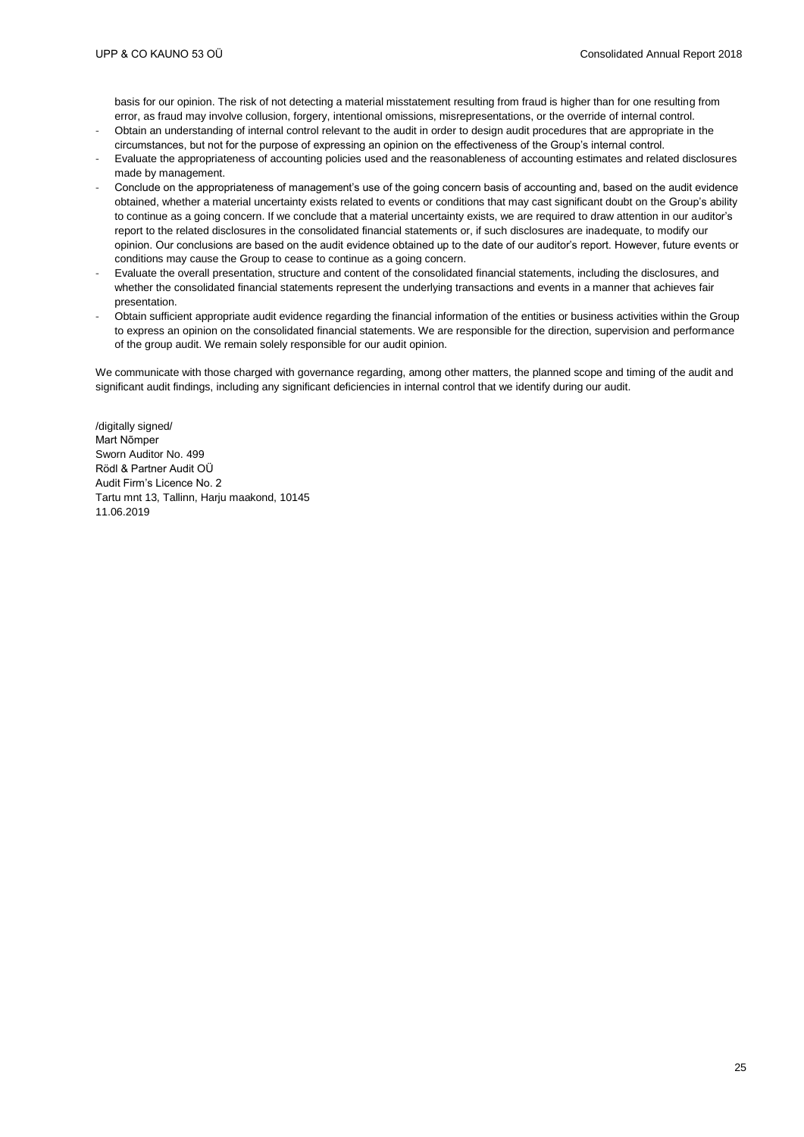basis for our opinion. The risk of not detecting a material misstatement resulting from fraud is higher than for one resulting from error, as fraud may involve collusion, forgery, intentional omissions, misrepresentations, or the override of internal control.

- Obtain an understanding of internal control relevant to the audit in order to design audit procedures that are appropriate in the circumstances, but not for the purpose of expressing an opinion on the effectiveness of the Group's internal control.
- Evaluate the appropriateness of accounting policies used and the reasonableness of accounting estimates and related disclosures made by management.
- Conclude on the appropriateness of management's use of the going concern basis of accounting and, based on the audit evidence obtained, whether a material uncertainty exists related to events or conditions that may cast significant doubt on the Group's ability to continue as a going concern. If we conclude that a material uncertainty exists, we are required to draw attention in our auditor's report to the related disclosures in the consolidated financial statements or, if such disclosures are inadequate, to modify our opinion. Our conclusions are based on the audit evidence obtained up to the date of our auditor's report. However, future events or conditions may cause the Group to cease to continue as a going concern.
- Evaluate the overall presentation, structure and content of the consolidated financial statements, including the disclosures, and whether the consolidated financial statements represent the underlying transactions and events in a manner that achieves fair presentation.
- Obtain sufficient appropriate audit evidence regarding the financial information of the entities or business activities within the Group to express an opinion on the consolidated financial statements. We are responsible for the direction, supervision and performance of the group audit. We remain solely responsible for our audit opinion.

We communicate with those charged with governance regarding, among other matters, the planned scope and timing of the audit and significant audit findings, including any significant deficiencies in internal control that we identify during our audit.

/digitally signed/ Mart Nõmper Sworn Auditor No. 499 Rödl & Partner Audit OÜ Audit Firm's Licence No. 2 Tartu mnt 13, Tallinn, Harju maakond, 10145 11.06.2019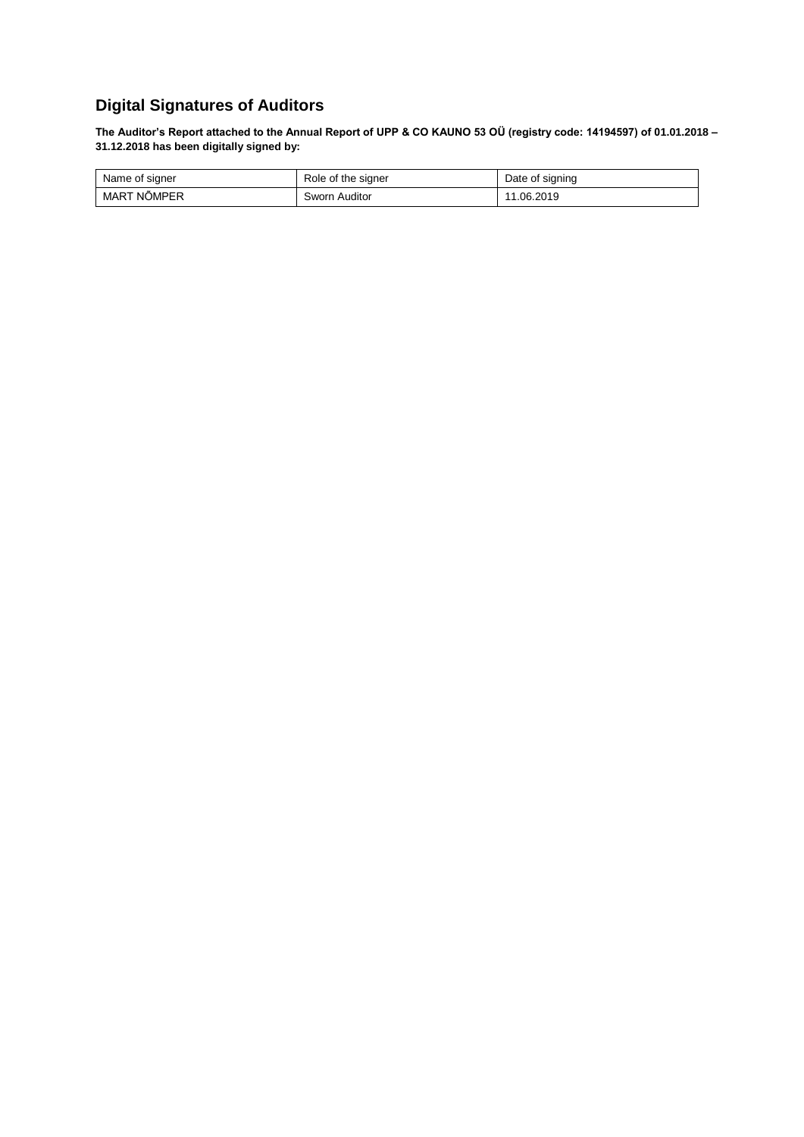# **Digital Signatures of Auditors**

**The Auditor's Report attached to the Annual Report of UPP & CO KAUNO 53 OÜ (registry code: 14194597) of 01.01.2018 – 31.12.2018 has been digitally signed by:** 

| Name of signer | Role of the signer | Date of signing |
|----------------|--------------------|-----------------|
| MART NÕMPER    | Sworn Auditor      | 11.06.2019      |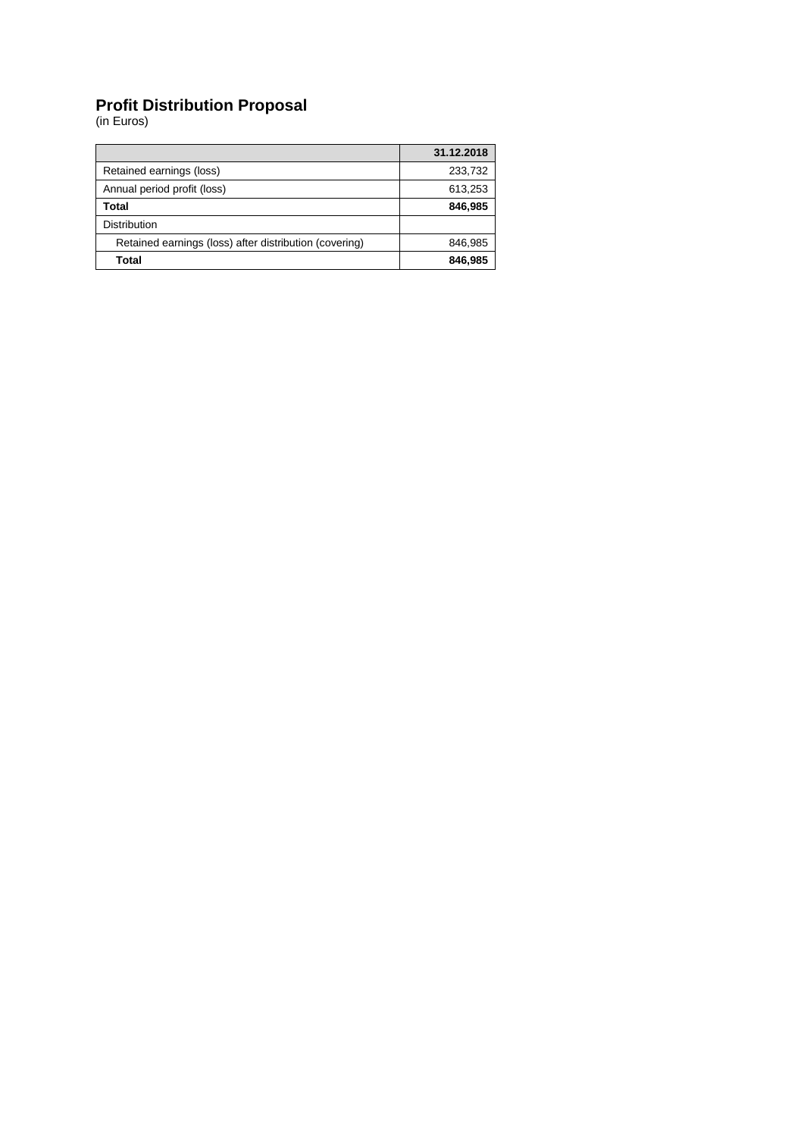## **Profit Distribution Proposal**

|                                                        | 31.12.2018 |
|--------------------------------------------------------|------------|
| Retained earnings (loss)                               | 233,732    |
| Annual period profit (loss)                            | 613,253    |
| Total                                                  | 846,985    |
| <b>Distribution</b>                                    |            |
| Retained earnings (loss) after distribution (covering) | 846.985    |
| Total                                                  | 846.985    |